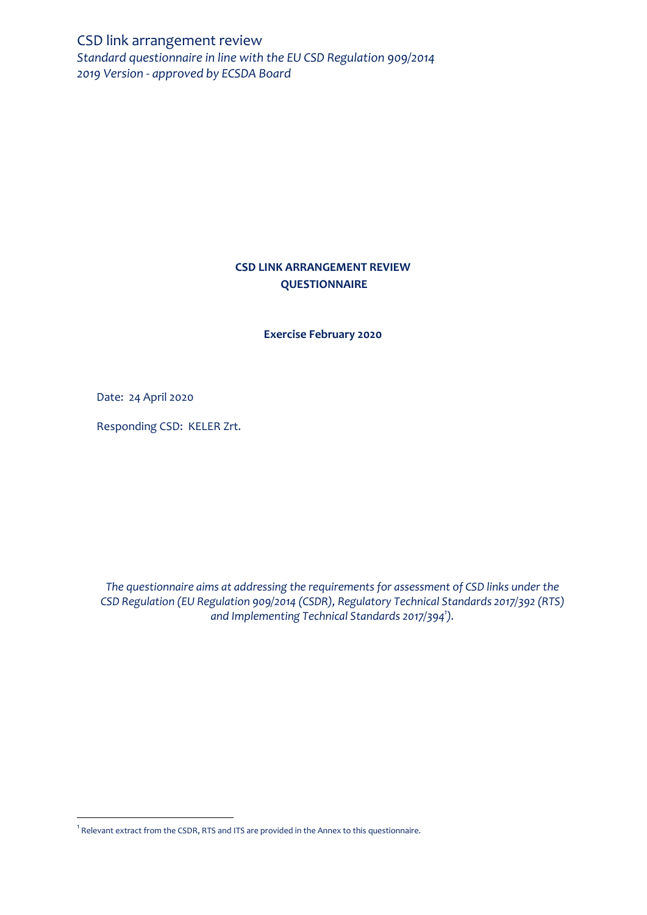CSD link arrangement review *Standard questionnaire in line with the EU CSD Regulation 909/2014 2019 Version - approved by ECSDA Board* 

# **CSD LINK ARRANGEMENT REVIEW QUESTIONNAIRE**

**Exercise February 2020**

Date: 24 April 2020

 $\overline{\phantom{a}}$ 

Responding CSD: KELER Zrt.

*The questionnaire aims at addressing the requirements for assessment of CSD links under the CSD Regulation (EU Regulation 909/2014 (CSDR), Regulatory Technical Standards 2017/392 (RTS) and Implementing Technical Standards 2017/394<sup>1</sup> ).*

 $^{\rm 1}$  Relevant extract from the CSDR, RTS and ITS are provided in the Annex to this questionnaire.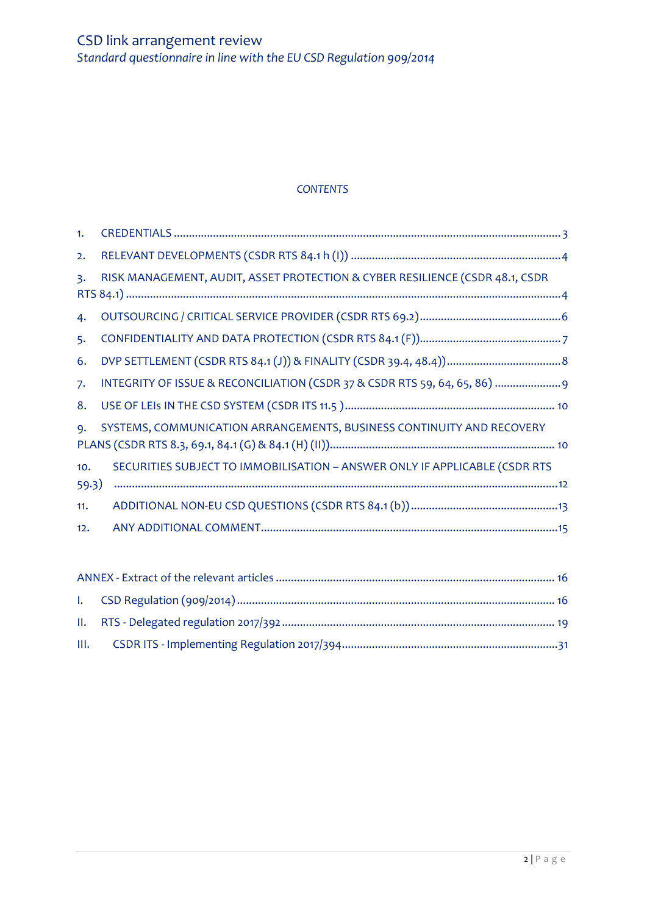# *CONTENTS*

| 1.             |                                                                              |
|----------------|------------------------------------------------------------------------------|
| 2.             |                                                                              |
| $\mathsf{B}$ . | RISK MANAGEMENT, AUDIT, ASSET PROTECTION & CYBER RESILIENCE (CSDR 48.1, CSDR |
|                |                                                                              |
| 4.             |                                                                              |
| 5.             |                                                                              |
| 6.             |                                                                              |
| 7.             | INTEGRITY OF ISSUE & RECONCILIATION (CSDR 37 & CSDR RTS 59, 64, 65, 86)      |
| 8.             |                                                                              |
| $Q_{\bullet}$  | SYSTEMS, COMMUNICATION ARRANGEMENTS, BUSINESS CONTINUITY AND RECOVERY        |
|                |                                                                              |
| 10.            | SECURITIES SUBJECT TO IMMOBILISATION - ANSWER ONLY IF APPLICABLE (CSDR RTS   |
| 59.3)          |                                                                              |
| 11.            |                                                                              |
| 12.            |                                                                              |
|                |                                                                              |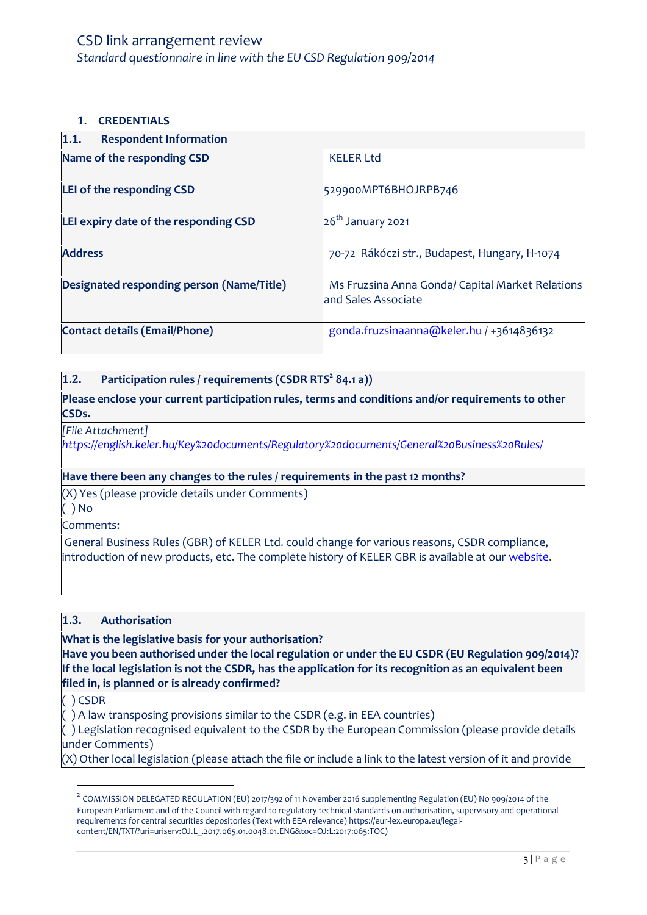### <span id="page-2-0"></span>**1. CREDENTIALS**

| 1.1.<br><b>Respondent Information</b>     |                                                                         |
|-------------------------------------------|-------------------------------------------------------------------------|
| Name of the responding CSD                | <b>KELER Ltd</b>                                                        |
| LEI of the responding CSD                 | 529900MPT6BHOJRPB746                                                    |
| LEI expiry date of the responding CSD     | $26th$ January 2021                                                     |
| <b>Address</b>                            | 70-72 Rákóczi str., Budapest, Hungary, H-1074                           |
| Designated responding person (Name/Title) | Ms Fruzsina Anna Gonda/ Capital Market Relations<br>and Sales Associate |
| <b>Contact details (Email/Phone)</b>      | gonda.fruzsinaanna@keler.hu / +3614836132                               |

### **1.2. Participation rules / requirements (CSDR RTS<sup>2</sup> 84.1 a))**

**Please enclose your current participation rules, terms and conditions and/or requirements to other CSDs.** 

*[File Attachment]*

*<https://english.keler.hu/Key%20documents/Regulatory%20documents/General%20Business%20Rules/>*

### **Have there been any changes to the rules / requirements in the past 12 months?**

(X) Yes (please provide details under Comments)

( ) No

Comments:

General Business Rules (GBR) of KELER Ltd. could change for various reasons, CSDR compliance, introduction of new products, etc. The complete history of KELER GBR is available at our [website.](https://english.keler.hu/Key%20documents/Regulatory%20documents/General%20Business%20Rules/)

#### **1.3. Authorisation**

**What is the legislative basis for your authorisation?** 

**Have you been authorised under the local regulation or under the EU CSDR (EU Regulation 909/2014)? If the local legislation is not the CSDR, has the application for its recognition as an equivalent been filed in, is planned or is already confirmed?**

( ) CSDR

 $\overline{\phantom{a}}$ 

( ) A law transposing provisions similar to the CSDR (e.g. in EEA countries)

( ) Legislation recognised equivalent to the CSDR by the European Commission (please provide details under Comments)

(X) Other local legislation (please attach the file or include a link to the latest version of it and provide

 $^2$  COMMISSION DELEGATED REGULATION (EU) 2017/392 of 11 November 2016 supplementing Regulation (EU) No 909/2014 of the European Parliament and of the Council with regard to regulatory technical standards on authorisation, supervisory and operational requirements for central securities depositories (Text with EEA relevance) https://eur-lex.europa.eu/legalcontent/EN/TXT/?uri=uriserv:OJ.L\_.2017.065.01.0048.01.ENG&toc=OJ:L:2017:065:TOC)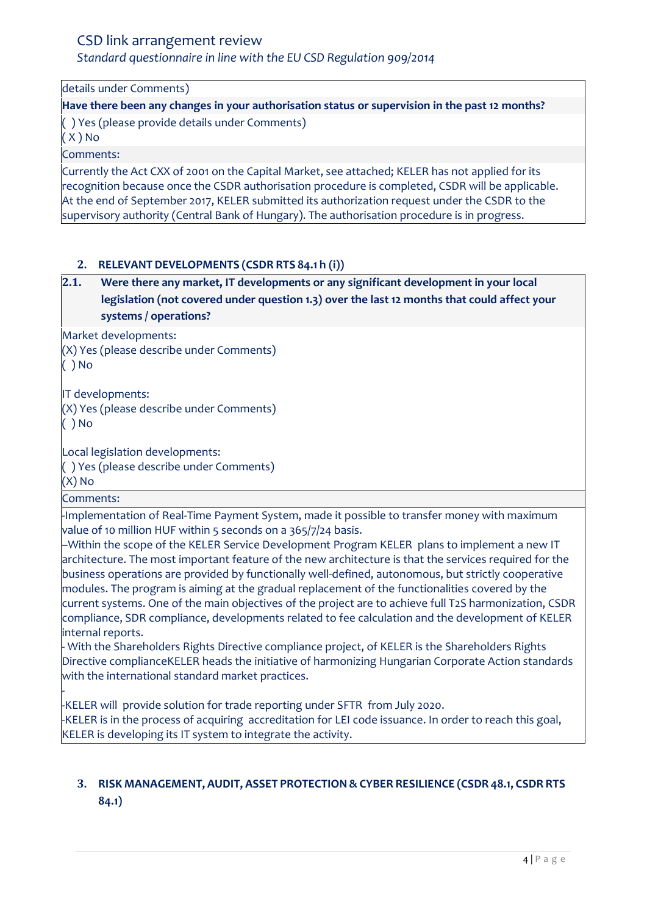*Standard questionnaire in line with the EU CSD Regulation 909/2014*

details under Comments)

**Have there been any changes in your authorisation status or supervision in the past 12 months?** ( ) Yes (please provide details under Comments)

( X ) No

Comments:

Currently the Act CXX of 2001 on the Capital Market, see attached; KELER has not applied for its recognition because once the CSDR authorisation procedure is completed, CSDR will be applicable. At the end of September 2017, KELER submitted its authorization request under the CSDR to the supervisory authority (Central Bank of Hungary). The authorisation procedure is in progress.

# <span id="page-3-0"></span>**2. RELEVANT DEVELOPMENTS (CSDR RTS 84.1 h (i))**

# **2.1. Were there any market, IT developments or any significant development in your local legislation (not covered under question 1.3) over the last 12 months that could affect your systems / operations?**

Market developments:

(X) Yes (please describe under Comments)

( ) No

IT developments: (X) Yes (please describe under Comments)

( ) No

Local legislation developments:

( ) Yes (please describe under Comments)

(X) No

Comments:

-Implementation of Real-Time Payment System, made it possible to transfer money with maximum value of 10 million HUF within 5 seconds on a 365/7/24 basis.

–Within the scope of the KELER Service Development Program KELER plans to implement a new IT architecture. The most important feature of the new architecture is that the services required for the business operations are provided by functionally well-defined, autonomous, but strictly cooperative modules. The program is aiming at the gradual replacement of the functionalities covered by the current systems. One of the main objectives of the project are to achieve full T2S harmonization, CSDR compliance, SDR compliance, developments related to fee calculation and the development of KELER internal reports.

- With the Shareholders Rights Directive compliance project, of KELER is the Shareholders Rights Directive complianceKELER heads the initiative of harmonizing Hungarian Corporate Action standards with the international standard market practices.

- -KELER will provide solution for trade reporting under SFTR from July 2020. -KELER is in the process of acquiring accreditation for LEI code issuance. In order to reach this goal, KELER is developing its IT system to integrate the activity.

# <span id="page-3-1"></span>**3. RISK MANAGEMENT, AUDIT, ASSET PROTECTION& CYBER RESILIENCE (CSDR 48.1, CSDR RTS 84.1)**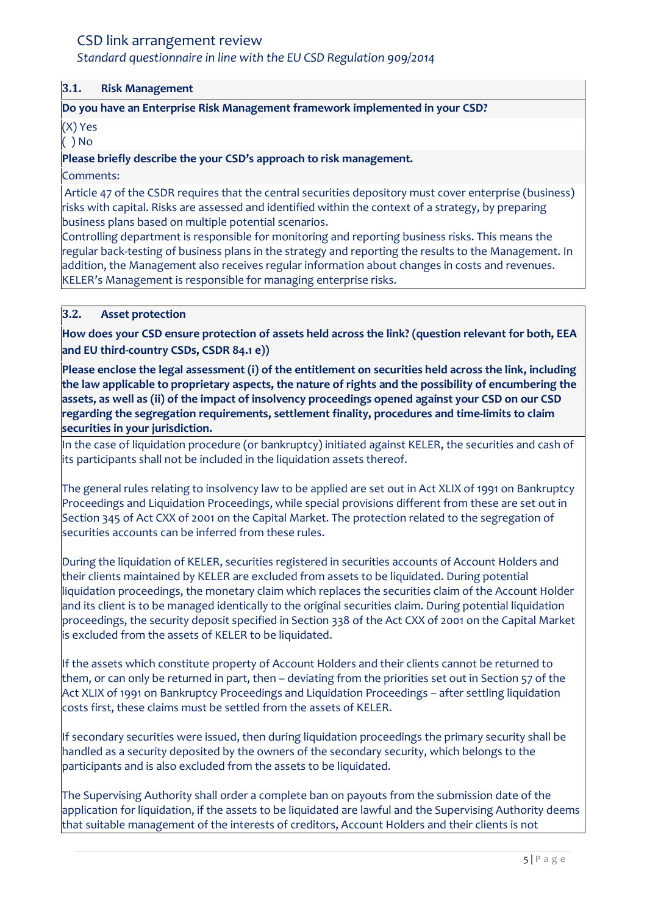# *Standard questionnaire in line with the EU CSD Regulation 909/2014*

#### **3.1. Risk Management**

### **Do you have an Enterprise Risk Management framework implemented in your CSD?**

### (X) Yes

### ( ) No

### **Please briefly describe the your CSD's approach to risk management.**

### Comments:

Article 47 of the CSDR requires that the central securities depository must cover enterprise (business) risks with capital. Risks are assessed and identified within the context of a strategy, by preparing business plans based on multiple potential scenarios.

Controlling department is responsible for monitoring and reporting business risks. This means the regular back-testing of business plans in the strategy and reporting the results to the Management. In addition, the Management also receives regular information about changes in costs and revenues. KELER's Management is responsible for managing enterprise risks.

### **3.2. Asset protection**

**How does your CSD ensure protection of assets held across the link? (question relevant for both, EEA and EU third-country CSDs, CSDR 84.1 e))**

**Please enclose the legal assessment (i) of the entitlement on securities held across the link, including the law applicable to proprietary aspects, the nature of rights and the possibility of encumbering the assets, as well as (ii) of the impact of insolvency proceedings opened against your CSD on our CSD regarding the segregation requirements, settlement finality, procedures and time-limits to claim securities in your jurisdiction.**

In the case of liquidation procedure (or bankruptcy) initiated against KELER, the securities and cash of its participants shall not be included in the liquidation assets thereof.

The general rules relating to insolvency law to be applied are set out in Act XLIX of 1991 on Bankruptcy Proceedings and Liquidation Proceedings, while special provisions different from these are set out in Section 345 of Act CXX of 2001 on the Capital Market. The protection related to the segregation of securities accounts can be inferred from these rules.

During the liquidation of KELER, securities registered in securities accounts of Account Holders and their clients maintained by KELER are excluded from assets to be liquidated. During potential liquidation proceedings, the monetary claim which replaces the securities claim of the Account Holder and its client is to be managed identically to the original securities claim. During potential liquidation proceedings, the security deposit specified in Section 338 of the Act CXX of 2001 on the Capital Market is excluded from the assets of KELER to be liquidated.

If the assets which constitute property of Account Holders and their clients cannot be returned to them, or can only be returned in part, then – deviating from the priorities set out in Section 57 of the Act XLIX of 1991 on Bankruptcy Proceedings and Liquidation Proceedings – after settling liquidation costs first, these claims must be settled from the assets of KELER.

If secondary securities were issued, then during liquidation proceedings the primary security shall be handled as a security deposited by the owners of the secondary security, which belongs to the participants and is also excluded from the assets to be liquidated.

The Supervising Authority shall order a complete ban on payouts from the submission date of the application for liquidation, if the assets to be liquidated are lawful and the Supervising Authority deems that suitable management of the interests of creditors, Account Holders and their clients is not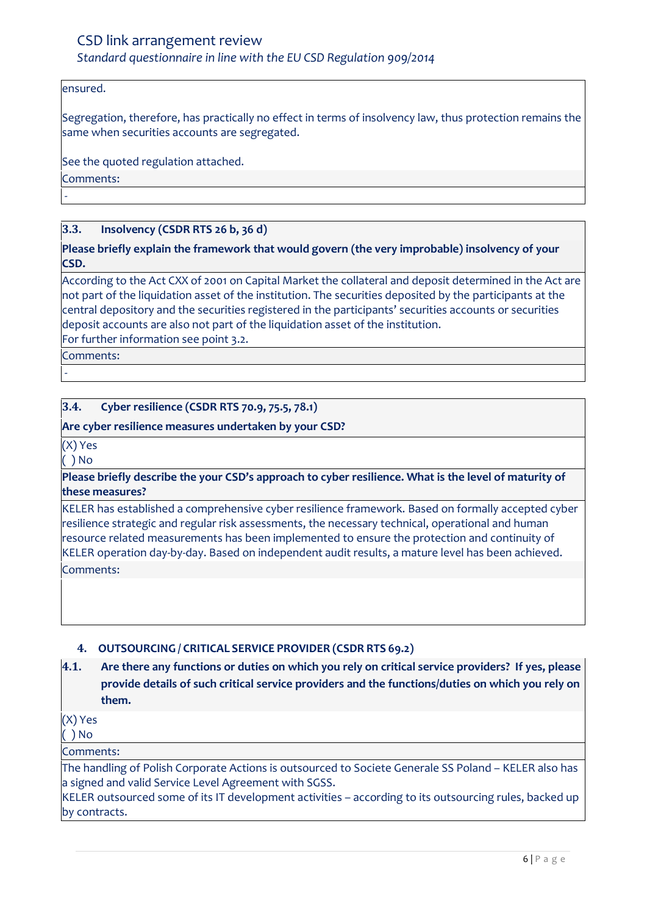### ensured.

Segregation, therefore, has practically no effect in terms of insolvency law, thus protection remains the same when securities accounts are segregated.

See the quoted regulation attached.

Comments:

-

### **3.3. Insolvency (CSDR RTS 26 b, 36 d)**

**Please briefly explain the framework that would govern (the very improbable) insolvency of your CSD.**

According to the Act CXX of 2001 on Capital Market the collateral and deposit determined in the Act are not part of the liquidation asset of the institution. The securities deposited by the participants at the central depository and the securities registered in the participants' securities accounts or securities deposit accounts are also not part of the liquidation asset of the institution.

For further information see point 3.2.

Comments:

-

### **3.4. Cyber resilience (CSDR RTS 70.9, 75.5, 78.1)**

#### **Are cyber resilience measures undertaken by your CSD?**

(X) Yes

( ) No

#### **Please briefly describe the your CSD's approach to cyber resilience. What is the level of maturity of these measures?**

KELER has established a comprehensive cyber resilience framework. Based on formally accepted cyber resilience strategic and regular risk assessments, the necessary technical, operational and human resource related measurements has been implemented to ensure the protection and continuity of KELER operation day-by-day. Based on independent audit results, a mature level has been achieved. Comments:

# <span id="page-5-0"></span>**4. OUTSOURCING / CRITICAL SERVICE PROVIDER (CSDR RTS 69.2)**

# **4.1. Are there any functions or duties on which you rely on critical service providers? If yes, please provide details of such critical service providers and the functions/duties on which you rely on them.**

(X) Yes

 $( )$  No

Comments:

The handling of Polish Corporate Actions is outsourced to Societe Generale SS Poland – KELER also has a signed and valid Service Level Agreement with SGSS.

KELER outsourced some of its IT development activities – according to its outsourcing rules, backed up by contracts.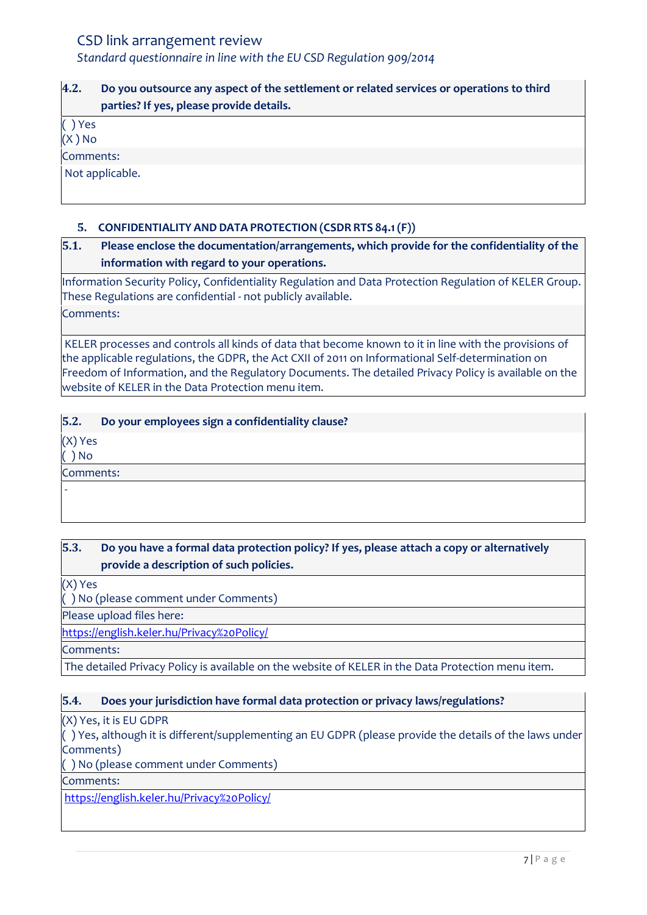# **4.2. Do you outsource any aspect of the settlement or related services or operations to third parties? If yes, please provide details.**

( ) Yes

 $(X)$  No

Comments:

Not applicable.

# <span id="page-6-0"></span>**5. CONFIDENTIALITY AND DATA PROTECTION (CSDR RTS 84.1(F))**

# **5.1. Please enclose the documentation/arrangements, which provide for the confidentiality of the information with regard to your operations.**

Information Security Policy, Confidentiality Regulation and Data Protection Regulation of KELER Group. These Regulations are confidential - not publicly available. Comments:

KELER processes and controls all kinds of data that become known to it in line with the provisions of the applicable regulations, the GDPR, the Act CXII of 2011 on Informational Self-determination on Freedom of Information, and the Regulatory Documents. The detailed Privacy Policy is available on the website of KELER in the Data Protection menu item.

# **5.2. Do your employees sign a confidentiality clause?**

(X) Yes

( ) No

-

Comments:

# **5.3. Do you have a formal data protection policy? If yes, please attach a copy or alternatively provide a description of such policies.**

(X) Yes

( ) No (please comment under Comments)

Please upload files here:

<https://english.keler.hu/Privacy%20Policy/>

Comments:

The detailed Privacy Policy is available on the website of KELER in the Data Protection menu item.

# **5.4. Does your jurisdiction have formal data protection or privacy laws/regulations?**

(X) Yes, it is EU GDPR

( ) Yes, although it is different/supplementing an EU GDPR (please provide the details of the laws under Comments)

( ) No (please comment under Comments)

Comments:

<https://english.keler.hu/Privacy%20Policy/>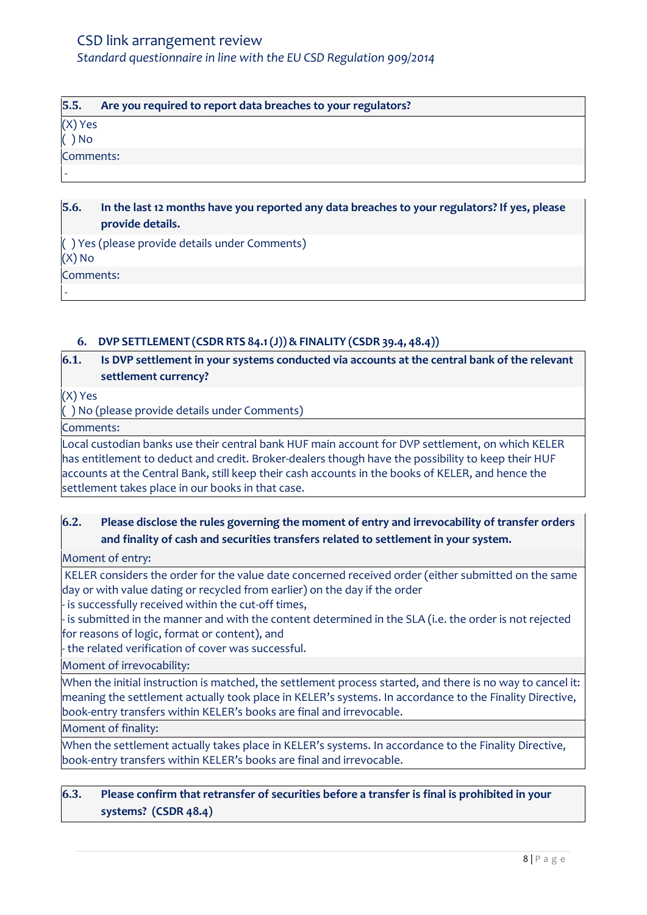| 5.5.              | Are you required to report data breaches to your regulators? |
|-------------------|--------------------------------------------------------------|
| (X) Yes<br>( ) No |                                                              |
|                   |                                                              |
| Comments:         |                                                              |
|                   |                                                              |
|                   |                                                              |

### **5.6. In the last 12 months have you reported any data breaches to your regulators? If yes, please provide details.**

( ) Yes (please provide details under Comments) (X) No Comments:

# <span id="page-7-0"></span>**6. DVP SETTLEMENT (CSDR RTS 84.1(J))& FINALITY (CSDR 39.4, 48.4))**

# **6.1. Is DVP settlement in your systems conducted via accounts at the central bank of the relevant settlement currency?**

(X) Yes

-

( ) No (please provide details under Comments)

Comments:

Local custodian banks use their central bank HUF main account for DVP settlement, on which KELER has entitlement to deduct and credit. Broker-dealers though have the possibility to keep their HUF accounts at the Central Bank, still keep their cash accounts in the books of KELER, and hence the settlement takes place in our books in that case.

# **6.2. Please disclose the rules governing the moment of entry and irrevocability of transfer orders and finality of cash and securities transfers related to settlement in your system.**

Moment of entry:

KELER considers the order for the value date concerned received order (either submitted on the same day or with value dating or recycled from earlier) on the day if the order

- is successfully received within the cut-off times,

- is submitted in the manner and with the content determined in the SLA (i.e. the order is not rejected for reasons of logic, format or content), and

- the related verification of cover was successful.

Moment of irrevocability:

When the initial instruction is matched, the settlement process started, and there is no way to cancel it: meaning the settlement actually took place in KELER's systems. In accordance to the Finality Directive, book-entry transfers within KELER's books are final and irrevocable.

Moment of finality:

When the settlement actually takes place in KELER's systems. In accordance to the Finality Directive, book-entry transfers within KELER's books are final and irrevocable.

# **6.3. Please confirm that retransfer of securities before a transfer is final is prohibited in your systems? (CSDR 48.4)**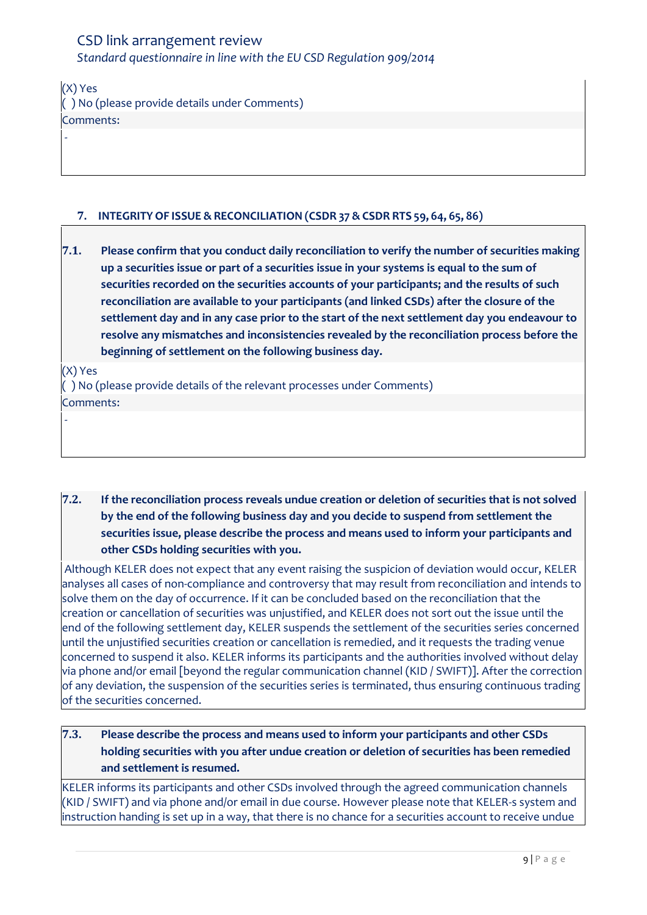| (X) Yes                                       |
|-----------------------------------------------|
| () No (please provide details under Comments) |
| Comments:                                     |

# <span id="page-8-0"></span>**7. INTEGRITY OF ISSUE & RECONCILIATION (CSDR 37 &CSDR RTS 59, 64, 65, 86)**

| 7.1. | Please confirm that you conduct daily reconciliation to verify the number of securities making |
|------|------------------------------------------------------------------------------------------------|
|      | up a securities issue or part of a securities issue in your systems is equal to the sum of     |
|      | securities recorded on the securities accounts of your participants; and the results of such   |
|      | reconciliation are available to your participants (and linked CSDs) after the closure of the   |
|      | settlement day and in any case prior to the start of the next settlement day you endeavour to  |
|      | resolve any mismatches and inconsistencies revealed by the reconciliation process before the   |
|      | beginning of settlement on the following business day.                                         |

(X) Yes

-

-

( ) No (please provide details of the relevant processes under Comments) Comments:

**7.2. If the reconciliation process reveals undue creation or deletion of securities that is not solved by the end of the following business day and you decide to suspend from settlement the securities issue, please describe the process and means used to inform your participants and other CSDs holding securities with you.**

Although KELER does not expect that any event raising the suspicion of deviation would occur, KELER analyses all cases of non-compliance and controversy that may result from reconciliation and intends to solve them on the day of occurrence. If it can be concluded based on the reconciliation that the creation or cancellation of securities was unjustified, and KELER does not sort out the issue until the end of the following settlement day, KELER suspends the settlement of the securities series concerned until the unjustified securities creation or cancellation is remedied, and it requests the trading venue concerned to suspend it also. KELER informs its participants and the authorities involved without delay via phone and/or email [beyond the regular communication channel (KID / SWIFT)]. After the correction of any deviation, the suspension of the securities series is terminated, thus ensuring continuous trading of the securities concerned.

# **7.3. Please describe the process and means used to inform your participants and other CSDs holding securities with you after undue creation or deletion of securities has been remedied and settlement is resumed.**

KELER informs its participants and other CSDs involved through the agreed communication channels (KID / SWIFT) and via phone and/or email in due course. However please note that KELER-s system and instruction handing is set up in a way, that there is no chance for a securities account to receive undue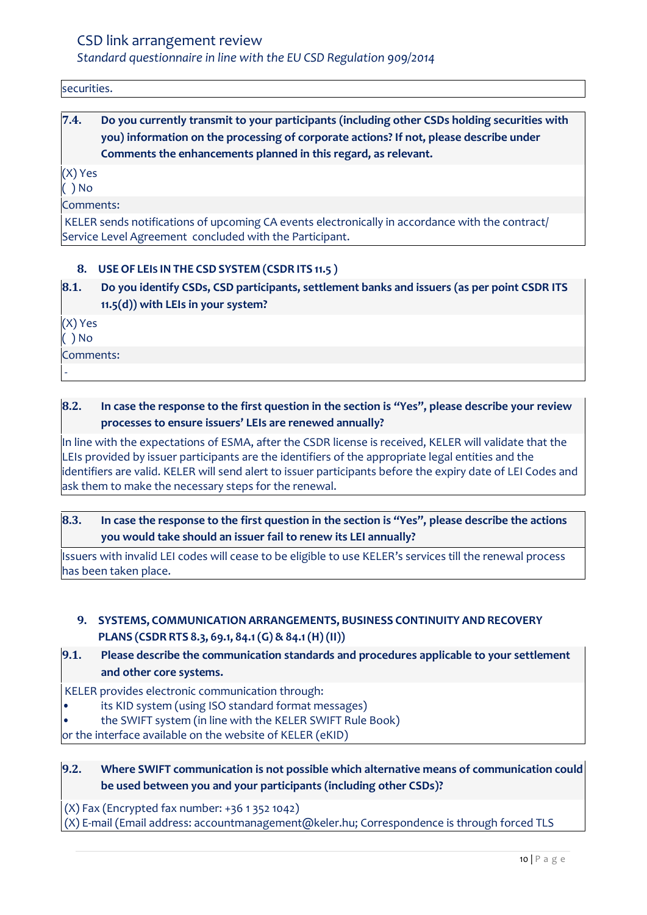securities.

# **7.4. Do you currently transmit to your participants (including other CSDs holding securities with you) information on the processing of corporate actions? If not, please describe under Comments the enhancements planned in this regard, as relevant.**

(X) Yes

 $( )$  No

Comments:

KELER sends notifications of upcoming CA events electronically in accordance with the contract/ Service Level Agreement concluded with the Participant.

### <span id="page-9-0"></span>**8. USE OF LEIS IN THE CSD SYSTEM (CSDR ITS 11.5 )**

**8.1. Do you identify CSDs, CSD participants, settlement banks and issuers (as per point CSDR ITS 11.5(d)) with LEIs in your system?** 

(X) Yes

( ) No

-

Comments:

# **8.2. In case the response to the first question in the section is "Yes", please describe your review processes to ensure issuers' LEIs are renewed annually?**

In line with the expectations of ESMA, after the CSDR license is received, KELER will validate that the LEIs provided by issuer participants are the identifiers of the appropriate legal entities and the identifiers are valid. KELER will send alert to issuer participants before the expiry date of LEI Codes and ask them to make the necessary steps for the renewal.

# **8.3. In case the response to the first question in the section is "Yes", please describe the actions you would take should an issuer fail to renew its LEI annually?**

Issuers with invalid LEI codes will cease to be eligible to use KELER's services till the renewal process has been taken place.

# <span id="page-9-1"></span>**9. SYSTEMS, COMMUNICATION ARRANGEMENTS, BUSINESS CONTINUITY AND RECOVERY PLANS (CSDR RTS 8.3, 69.1, 84.1(G) & 84.1(H) (II))**

# **9.1. Please describe the communication standards and procedures applicable to your settlement and other core systems.**

KELER provides electronic communication through:

its KID system (using ISO standard format messages)

• the SWIFT system (in line with the KELER SWIFT Rule Book)

or the interface available on the website of KELER (eKID)

# **9.2. Where SWIFT communication is not possible which alternative means of communication could be used between you and your participants (including other CSDs)?**

(X) Fax (Encrypted fax number: +36 1 352 1042)

(X) E-mail (Email address: accountmanagement@keler.hu; Correspondence is through forced TLS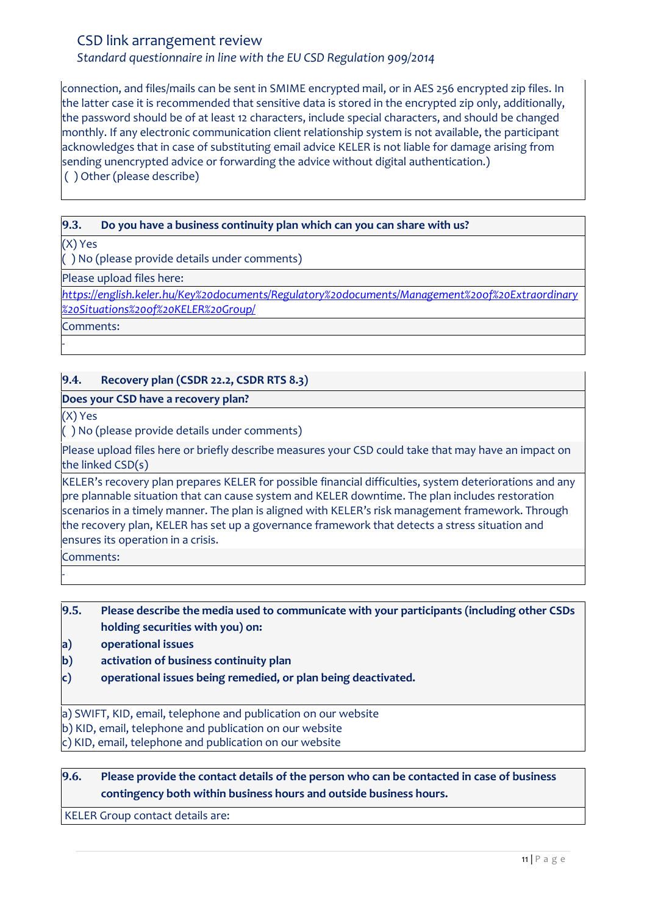# *Standard questionnaire in line with the EU CSD Regulation 909/2014*

connection, and files/mails can be sent in SMIME encrypted mail, or in AES 256 encrypted zip files. In the latter case it is recommended that sensitive data is stored in the encrypted zip only, additionally, the password should be of at least 12 characters, include special characters, and should be changed monthly. If any electronic communication client relationship system is not available, the participant acknowledges that in case of substituting email advice KELER is not liable for damage arising from sending unencrypted advice or forwarding the advice without digital authentication.) ( ) Other (please describe)

### **9.3. Do you have a business continuity plan which can you can share with us?**

(X) Yes

( ) No (please provide details under comments)

Please upload files here:

*[https://english.keler.hu/Key%20documents/Regulatory%20documents/Management%20of%20Extraordinary](https://english.keler.hu/Key%20documents/Regulatory%20documents/Management%20of%20Extraordinary%20Situations%20of%20KELER%20Group/) [%20Situations%20of%20KELER%20Group/](https://english.keler.hu/Key%20documents/Regulatory%20documents/Management%20of%20Extraordinary%20Situations%20of%20KELER%20Group/)*

Comments:

-

# **9.4. Recovery plan (CSDR 22.2, CSDR RTS 8.3)**

### **Does your CSD have a recovery plan?**

(X) Yes

( ) No (please provide details under comments)

Please upload files here or briefly describe measures your CSD could take that may have an impact on the linked CSD(s)

KELER's recovery plan prepares KELER for possible financial difficulties, system deteriorations and any pre plannable situation that can cause system and KELER downtime. The plan includes restoration scenarios in a timely manner. The plan is aligned with KELER's risk management framework. Through the recovery plan, KELER has set up a governance framework that detects a stress situation and ensures its operation in a crisis.

Comments:

-

**9.5. Please describe the media used to communicate with your participants (including other CSDs holding securities with you) on:**

**a) operational issues**

- **b) activation of business continuity plan**
- **c) operational issues being remedied, or plan being deactivated.**

a) SWIFT, KID, email, telephone and publication on our website

b) KID, email, telephone and publication on our website

c) KID, email, telephone and publication on our website

### **9.6. Please provide the contact details of the person who can be contacted in case of business contingency both within business hours and outside business hours.**

KELER Group contact details are: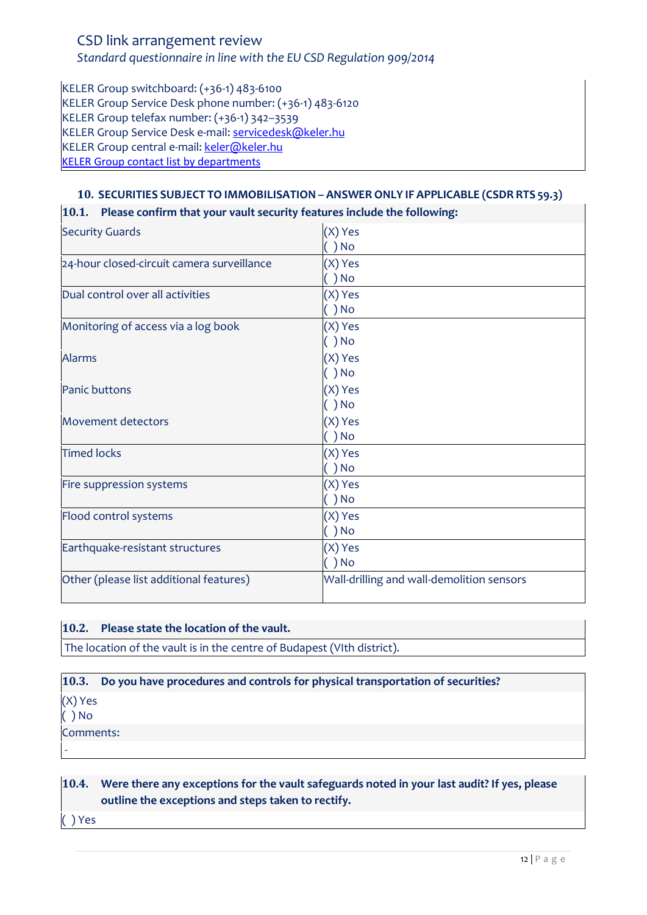### *Standard questionnaire in line with the EU CSD Regulation 909/2014*

KELER Group switchboard: (+36-1) 483-6100 KELER Group Service Desk phone number: (+36-1) 483-6120 KELER Group telefax number: (+36-1) 342–3539 KELER Group Service Desk e-mail[: servicedesk@keler.hu](mailto:servicedesk@keler.hu) KELER Group central e-mail: [keler@keler.hu](mailto:keler@keler.hu) [KELER Group contact list by departments](https://english.keler.hu/Contacts/Contact%20us/)

### <span id="page-11-0"></span>**10. SECURITIES SUBJECT TO IMMOBILISATION – ANSWER ONLY IF APPLICABLE (CSDR RTS 59.3)**

| $ 10.1.$ Please confirm that your vault security features include the following: |                                           |  |
|----------------------------------------------------------------------------------|-------------------------------------------|--|
| <b>Security Guards</b>                                                           | (X) Yes                                   |  |
|                                                                                  | $( )$ No                                  |  |
| 24-hour closed-circuit camera surveillance                                       | (X) Yes                                   |  |
|                                                                                  | $( )$ No                                  |  |
| Dual control over all activities                                                 | (X) Yes                                   |  |
|                                                                                  | ( ) No                                    |  |
| Monitoring of access via a log book                                              | (X) Yes                                   |  |
|                                                                                  | $()$ No                                   |  |
| <b>Alarms</b>                                                                    | (X) Yes                                   |  |
|                                                                                  | $( )$ No                                  |  |
| <b>Panic buttons</b>                                                             | (X) Yes                                   |  |
|                                                                                  | ( ) No                                    |  |
| <b>Movement detectors</b>                                                        | (X) Yes                                   |  |
|                                                                                  | $( )$ No                                  |  |
| <b>Timed locks</b>                                                               | (X) Yes                                   |  |
|                                                                                  | $( )$ No                                  |  |
| Fire suppression systems                                                         | (X) Yes                                   |  |
|                                                                                  | $( )$ No                                  |  |
| Flood control systems                                                            | (X) Yes                                   |  |
|                                                                                  | $( )$ No                                  |  |
| Earthquake-resistant structures                                                  | (X) Yes                                   |  |
|                                                                                  | $()$ No                                   |  |
| Other (please list additional features)                                          | Wall-drilling and wall-demolition sensors |  |
|                                                                                  |                                           |  |

|  | 10.2. Please state the location of the vault. |
|--|-----------------------------------------------|
|--|-----------------------------------------------|

The location of the vault is in the centre of Budapest (VIth district).

### **10.3. Do you have procedures and controls for physical transportation of securities?**

(X) Yes

( ) No

-

Comments:

# **10.4. Were there any exceptions for the vault safeguards noted in your last audit? If yes, please outline the exceptions and steps taken to rectify.**

( ) Yes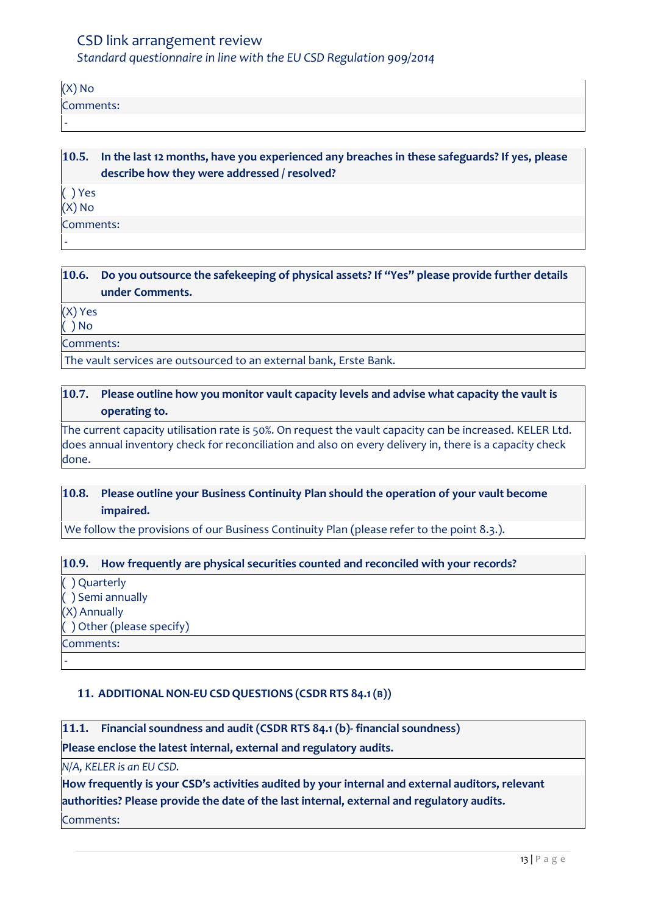(X) No Comments: -

**10.5. In the last 12 months, have you experienced any breaches in these safeguards? If yes, please describe how they were addressed / resolved?** ( ) Yes (X) No Comments: -

# **10.6. Do you outsource the safekeeping of physical assets? If "Yes" please provide further details under Comments.**

(X) Yes

( ) No

Comments:

The vault services are outsourced to an external bank, Erste Bank.

### **10.7. Please outline how you monitor vault capacity levels and advise what capacity the vault is operating to.**

The current capacity utilisation rate is 50%. On request the vault capacity can be increased. KELER Ltd. does annual inventory check for reconciliation and also on every delivery in, there is a capacity check done.

# **10.8. Please outline your Business Continuity Plan should the operation of your vault become impaired.**

We follow the provisions of our Business Continuity Plan (please refer to the point 8.3.).

# **10.9. How frequently are physical securities counted and reconciled with your records?**

( ) Quarterly ( ) Semi annually (X) Annually ( ) Other (please specify) Comments:

-

# <span id="page-12-0"></span>**11. ADDITIONAL NON-EU CSDQUESTIONS (CSDR RTS 84.1(B))**

**11.1. Financial soundness and audit (CSDR RTS 84.1 (b)- financial soundness)**

**Please enclose the latest internal, external and regulatory audits.**

*N/A, KELER is an EU CSD.*

**How frequently is your CSD's activities audited by your internal and external auditors, relevant authorities? Please provide the date of the last internal, external and regulatory audits.** Comments: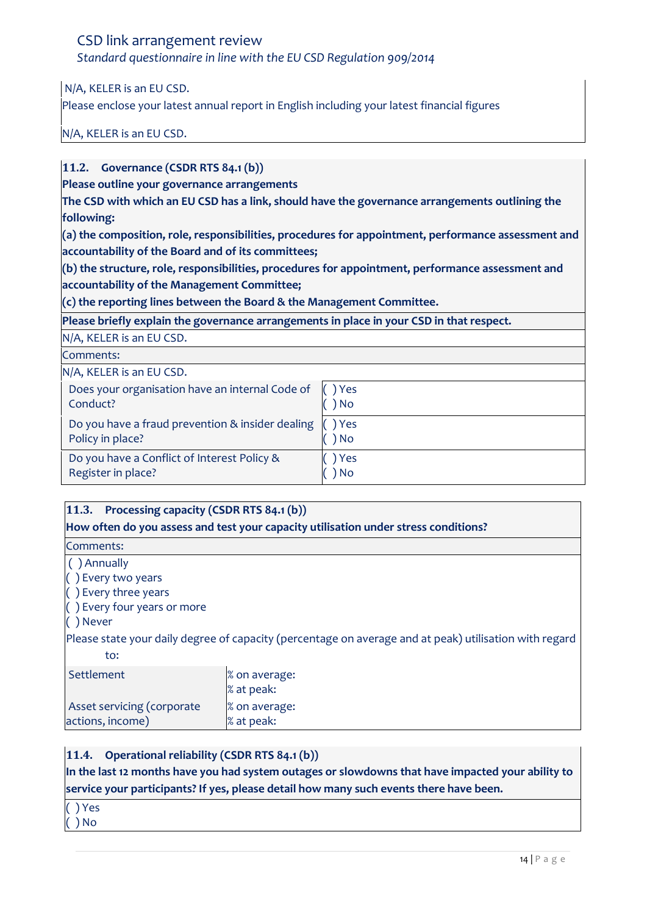*Standard questionnaire in line with the EU CSD Regulation 909/2014*

N/A, KELER is an EU CSD.

Please enclose your latest annual report in English including your latest financial figures

N/A, KELER is an EU CSD.

### **11.2. Governance (CSDR RTS 84.1 (b))**

**Please outline your governance arrangements** 

**The CSD with which an EU CSD has a link, should have the governance arrangements outlining the following:** 

**(a) the composition, role, responsibilities, procedures for appointment, performance assessment and accountability of the Board and of its committees;** 

**(b) the structure, role, responsibilities, procedures for appointment, performance assessment and accountability of the Management Committee;** 

**(c) the reporting lines between the Board & the Management Committee.**

**Please briefly explain the governance arrangements in place in your CSD in that respect.**

|  | N/A, KELER is an EU CSD. |  |
|--|--------------------------|--|
|  |                          |  |

Comments:

N/A, KELER is an EU CSD.

| Does your organisation have an internal Code of  | ) Yes |
|--------------------------------------------------|-------|
| Conduct?                                         | ) No  |
| Do you have a fraud prevention & insider dealing | ) Yes |
| Policy in place?                                 | ) No  |
| Do you have a Conflict of Interest Policy &      | ) Yes |
| Register in place?                               | ) No  |

### **11.3. Processing capacity (CSDR RTS 84.1 (b))**

**How often do you assess and test your capacity utilisation under stress conditions?** 

Comments:

( ) Annually

( ) Every two years

( ) Every three years

( ) Every four years or more

( ) Never

Please state your daily degree of capacity (percentage on average and at peak) utilisation with regard to:

| Settlement                 | % on average: |
|----------------------------|---------------|
|                            | % at peak:    |
| Asset servicing (corporate | % on average: |
| actions, income)           | % at peak:    |

# **11.4. Operational reliability (CSDR RTS 84.1 (b))**

**In the last 12 months have you had system outages or slowdowns that have impacted your ability to service your participants? If yes, please detail how many such events there have been.**

( ) Yes

( ) No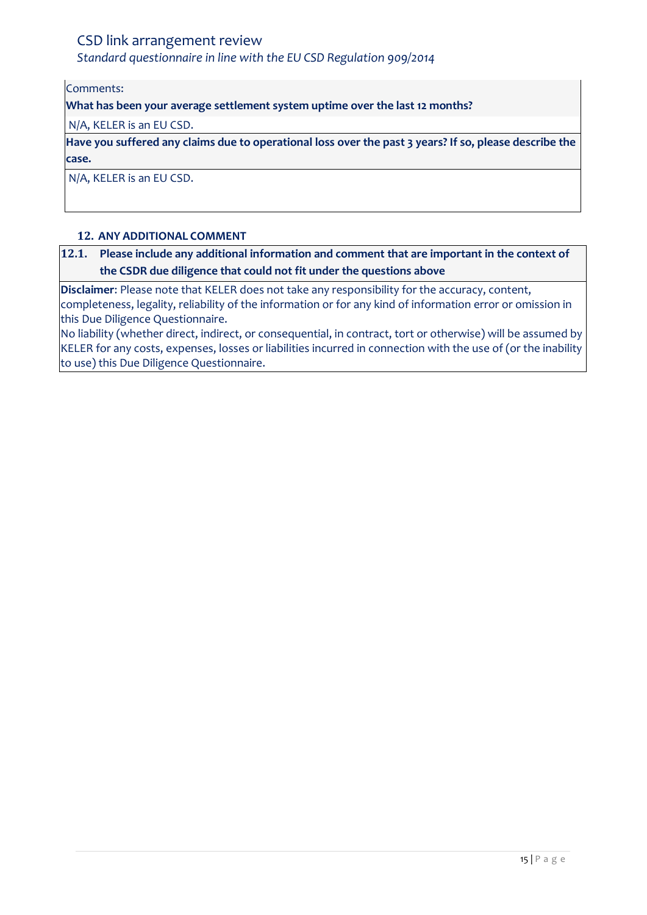*Standard questionnaire in line with the EU CSD Regulation 909/2014*

Comments:

**What has been your average settlement system uptime over the last 12 months?**

N/A, KELER is an EU CSD.

**Have you suffered any claims due to operational loss over the past 3 years? If so, please describe the case.**

N/A, KELER is an EU CSD.

### <span id="page-14-0"></span>**12. ANY ADDITIONAL COMMENT**

# **12.1. Please include any additional information and comment that are important in the context of the CSDR due diligence that could not fit under the questions above**

**Disclaimer**: Please note that KELER does not take any responsibility for the accuracy, content, completeness, legality, reliability of the information or for any kind of information error or omission in this Due Diligence Questionnaire.

No liability (whether direct, indirect, or consequential, in contract, tort or otherwise) will be assumed by KELER for any costs, expenses, losses or liabilities incurred in connection with the use of (or the inability to use) this Due Diligence Questionnaire.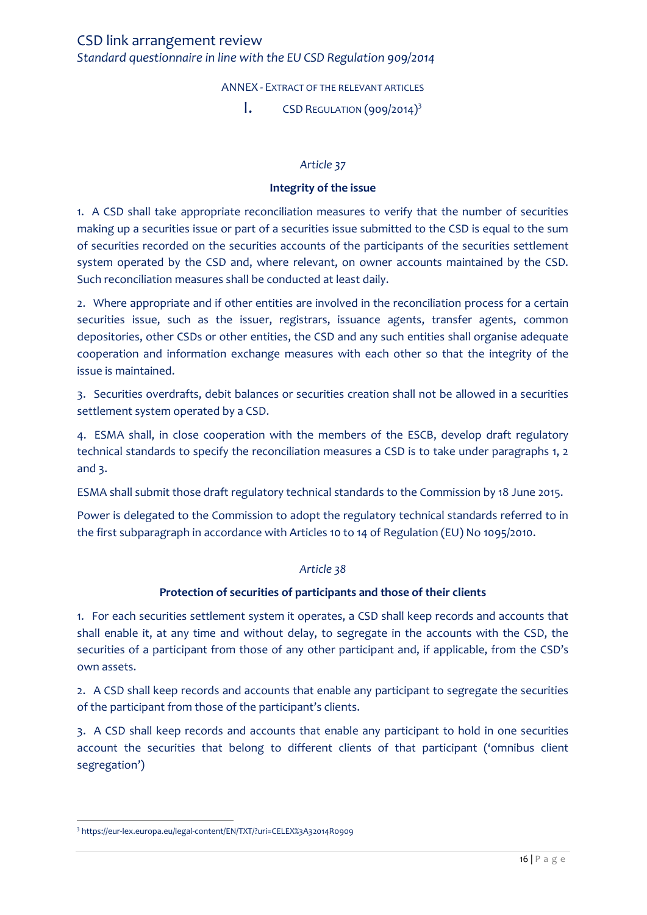ANNEX - EXTRACT OF THE RELEVANT ARTICLES

 $\mathbf{I}$ . CSD REGULATION (909/2014)<sup>3</sup>

#### *Article 37*

#### **Integrity of the issue**

<span id="page-15-1"></span><span id="page-15-0"></span>1. A CSD shall take appropriate reconciliation measures to verify that the number of securities making up a securities issue or part of a securities issue submitted to the CSD is equal to the sum of securities recorded on the securities accounts of the participants of the securities settlement system operated by the CSD and, where relevant, on owner accounts maintained by the CSD. Such reconciliation measures shall be conducted at least daily.

2. Where appropriate and if other entities are involved in the reconciliation process for a certain securities issue, such as the issuer, registrars, issuance agents, transfer agents, common depositories, other CSDs or other entities, the CSD and any such entities shall organise adequate cooperation and information exchange measures with each other so that the integrity of the issue is maintained.

3. Securities overdrafts, debit balances or securities creation shall not be allowed in a securities settlement system operated by a CSD.

4. ESMA shall, in close cooperation with the members of the ESCB, develop draft regulatory technical standards to specify the reconciliation measures a CSD is to take under paragraphs 1, 2 and 3.

ESMA shall submit those draft regulatory technical standards to the Commission by 18 June 2015.

Power is delegated to the Commission to adopt the regulatory technical standards referred to in the first subparagraph in accordance with Articles 10 to 14 of Regulation (EU) No 1095/2010.

#### *Article 38*

### **Protection of securities of participants and those of their clients**

1. For each securities settlement system it operates, a CSD shall keep records and accounts that shall enable it, at any time and without delay, to segregate in the accounts with the CSD, the securities of a participant from those of any other participant and, if applicable, from the CSD's own assets.

2. A CSD shall keep records and accounts that enable any participant to segregate the securities of the participant from those of the participant's clients.

3. A CSD shall keep records and accounts that enable any participant to hold in one securities account the securities that belong to different clients of that participant ('omnibus client segregation')

l

<sup>3</sup> https://eur-lex.europa.eu/legal-content/EN/TXT/?uri=CELEX%3A32014R0909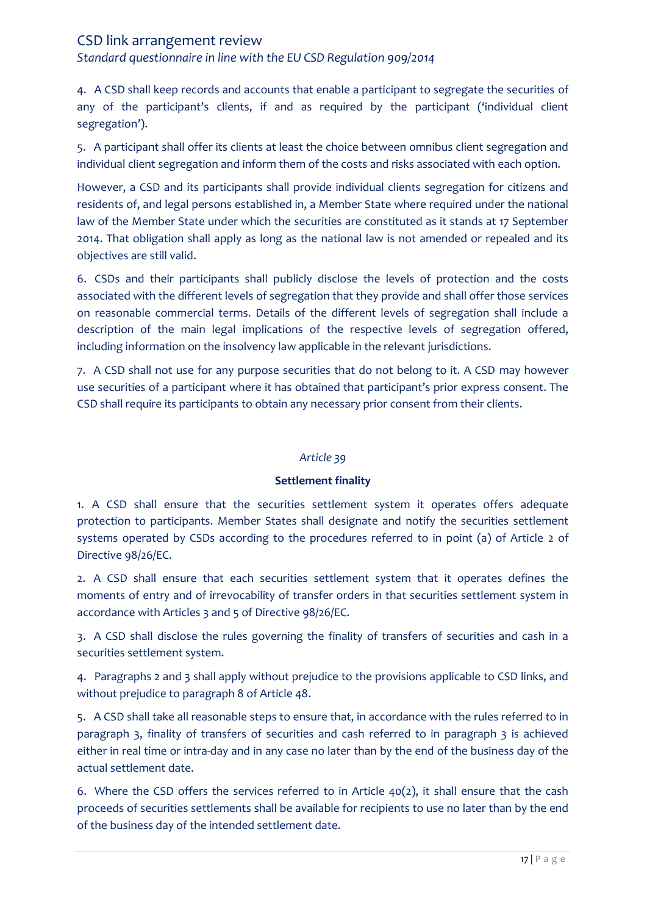*Standard questionnaire in line with the EU CSD Regulation 909/2014*

4. A CSD shall keep records and accounts that enable a participant to segregate the securities of any of the participant's clients, if and as required by the participant ('individual client segregation').

5. A participant shall offer its clients at least the choice between omnibus client segregation and individual client segregation and inform them of the costs and risks associated with each option.

However, a CSD and its participants shall provide individual clients segregation for citizens and residents of, and legal persons established in, a Member State where required under the national law of the Member State under which the securities are constituted as it stands at 17 September 2014. That obligation shall apply as long as the national law is not amended or repealed and its objectives are still valid.

6. CSDs and their participants shall publicly disclose the levels of protection and the costs associated with the different levels of segregation that they provide and shall offer those services on reasonable commercial terms. Details of the different levels of segregation shall include a description of the main legal implications of the respective levels of segregation offered, including information on the insolvency law applicable in the relevant jurisdictions.

7. A CSD shall not use for any purpose securities that do not belong to it. A CSD may however use securities of a participant where it has obtained that participant's prior express consent. The CSD shall require its participants to obtain any necessary prior consent from their clients.

### *Article 39*

### **Settlement finality**

1. A CSD shall ensure that the securities settlement system it operates offers adequate protection to participants. Member States shall designate and notify the securities settlement systems operated by CSDs according to the procedures referred to in point (a) of Article 2 of Directive 98/26/EC.

2. A CSD shall ensure that each securities settlement system that it operates defines the moments of entry and of irrevocability of transfer orders in that securities settlement system in accordance with Articles 3 and 5 of Directive 98/26/EC.

3. A CSD shall disclose the rules governing the finality of transfers of securities and cash in a securities settlement system.

4. Paragraphs 2 and 3 shall apply without prejudice to the provisions applicable to CSD links, and without prejudice to paragraph 8 of Article 48.

5. A CSD shall take all reasonable steps to ensure that, in accordance with the rules referred to in paragraph 3, finality of transfers of securities and cash referred to in paragraph 3 is achieved either in real time or intra-day and in any case no later than by the end of the business day of the actual settlement date.

6. Where the CSD offers the services referred to in Article 40(2), it shall ensure that the cash proceeds of securities settlements shall be available for recipients to use no later than by the end of the business day of the intended settlement date.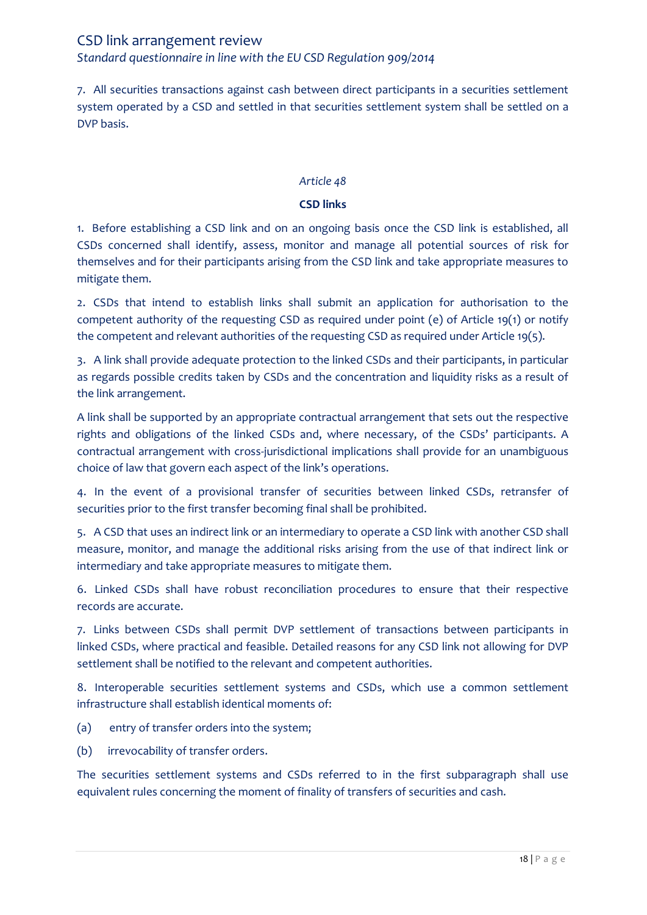7. All securities transactions against cash between direct participants in a securities settlement system operated by a CSD and settled in that securities settlement system shall be settled on a DVP basis.

### *Article 48*

### **CSD links**

1. Before establishing a CSD link and on an ongoing basis once the CSD link is established, all CSDs concerned shall identify, assess, monitor and manage all potential sources of risk for themselves and for their participants arising from the CSD link and take appropriate measures to mitigate them.

2. CSDs that intend to establish links shall submit an application for authorisation to the competent authority of the requesting CSD as required under point (e) of Article 19(1) or notify the competent and relevant authorities of the requesting CSD as required under Article 19(5).

3. A link shall provide adequate protection to the linked CSDs and their participants, in particular as regards possible credits taken by CSDs and the concentration and liquidity risks as a result of the link arrangement.

A link shall be supported by an appropriate contractual arrangement that sets out the respective rights and obligations of the linked CSDs and, where necessary, of the CSDs' participants. A contractual arrangement with cross-jurisdictional implications shall provide for an unambiguous choice of law that govern each aspect of the link's operations.

4. In the event of a provisional transfer of securities between linked CSDs, retransfer of securities prior to the first transfer becoming final shall be prohibited.

5. A CSD that uses an indirect link or an intermediary to operate a CSD link with another CSD shall measure, monitor, and manage the additional risks arising from the use of that indirect link or intermediary and take appropriate measures to mitigate them.

6. Linked CSDs shall have robust reconciliation procedures to ensure that their respective records are accurate.

7. Links between CSDs shall permit DVP settlement of transactions between participants in linked CSDs, where practical and feasible. Detailed reasons for any CSD link not allowing for DVP settlement shall be notified to the relevant and competent authorities.

8. Interoperable securities settlement systems and CSDs, which use a common settlement infrastructure shall establish identical moments of:

- (a) entry of transfer orders into the system;
- (b) irrevocability of transfer orders.

The securities settlement systems and CSDs referred to in the first subparagraph shall use equivalent rules concerning the moment of finality of transfers of securities and cash.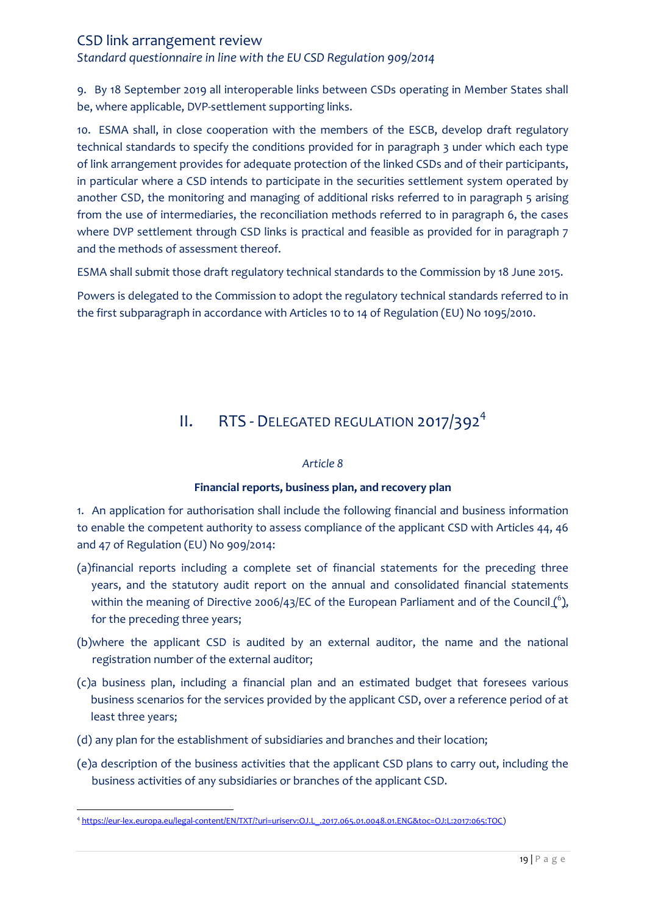*Standard questionnaire in line with the EU CSD Regulation 909/2014*

9. By 18 September 2019 all interoperable links between CSDs operating in Member States shall be, where applicable, DVP-settlement supporting links.

10. ESMA shall, in close cooperation with the members of the ESCB, develop draft regulatory technical standards to specify the conditions provided for in paragraph 3 under which each type of link arrangement provides for adequate protection of the linked CSDs and of their participants, in particular where a CSD intends to participate in the securities settlement system operated by another CSD, the monitoring and managing of additional risks referred to in paragraph 5 arising from the use of intermediaries, the reconciliation methods referred to in paragraph 6, the cases where DVP settlement through CSD links is practical and feasible as provided for in paragraph 7 and the methods of assessment thereof.

ESMA shall submit those draft regulatory technical standards to the Commission by 18 June 2015.

Powers is delegated to the Commission to adopt the regulatory technical standards referred to in the first subparagraph in accordance with Articles 10 to 14 of Regulation (EU) No 1095/2010.

# II. RTS - DELEGATED REGULATION 2017/392<sup>4</sup>

### *Article 8*

### **Financial reports, business plan, and recovery plan**

<span id="page-18-0"></span>1. An application for authorisation shall include the following financial and business information to enable the competent authority to assess compliance of the applicant CSD with Articles 44, 46 and 47 of Regulation (EU) No 909/2014:

- (a)financial reports including a complete set of financial statements for the preceding three years, and the statutory audit report on the annual and consolidated financial statements within the meaning of Directive 2006/43/EC of the European Parliament and of the Council  $\binom{6}{2}$ , for the preceding three years;
- (b)where the applicant CSD is audited by an external auditor, the name and the national registration number of the external auditor;
- (c)a business plan, including a financial plan and an estimated budget that foresees various business scenarios for the services provided by the applicant CSD, over a reference period of at least three years;
- (d) any plan for the establishment of subsidiaries and branches and their location;
- (e)a description of the business activities that the applicant CSD plans to carry out, including the business activities of any subsidiaries or branches of the applicant CSD.

 $\overline{a}$ 4 [https://eur-lex.europa.eu/legal-content/EN/TXT/?uri=uriserv:OJ.L\\_.2017.065.01.0048.01.ENG&toc=OJ:L:2017:065:TOC\)](https://eur-lex.europa.eu/legal-content/EN/TXT/?uri=uriserv:OJ.L_.2017.065.01.0048.01.ENG&toc=OJ:L:2017:065:TOC)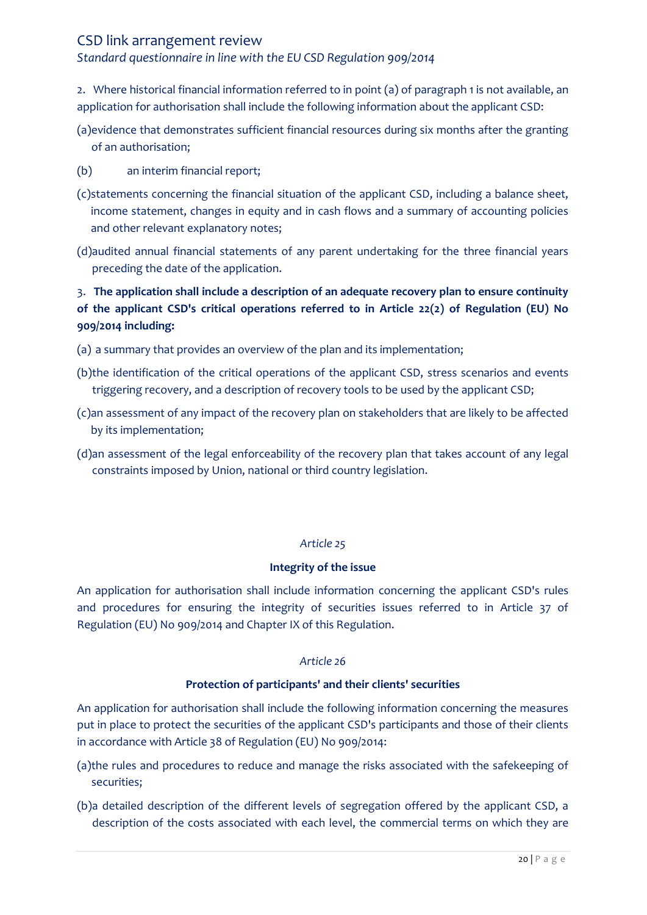### *Standard questionnaire in line with the EU CSD Regulation 909/2014*

2. Where historical financial information referred to in point (a) of paragraph 1 is not available, an application for authorisation shall include the following information about the applicant CSD:

- (a)evidence that demonstrates sufficient financial resources during six months after the granting of an authorisation;
- (b) an interim financial report;
- (c)statements concerning the financial situation of the applicant CSD, including a balance sheet, income statement, changes in equity and in cash flows and a summary of accounting policies and other relevant explanatory notes;
- (d)audited annual financial statements of any parent undertaking for the three financial years preceding the date of the application.

# 3. **The application shall include a description of an adequate recovery plan to ensure continuity of the applicant CSD's critical operations referred to in Article 22(2) of Regulation (EU) No 909/2014 including:**

- (a) a summary that provides an overview of the plan and its implementation;
- (b)the identification of the critical operations of the applicant CSD, stress scenarios and events triggering recovery, and a description of recovery tools to be used by the applicant CSD;
- (c)an assessment of any impact of the recovery plan on stakeholders that are likely to be affected by its implementation;
- (d)an assessment of the legal enforceability of the recovery plan that takes account of any legal constraints imposed by Union, national or third country legislation.

# *Article 25*

### **Integrity of the issue**

An application for authorisation shall include information concerning the applicant CSD's rules and procedures for ensuring the integrity of securities issues referred to in Article 37 of Regulation (EU) No 909/2014 and Chapter IX of this Regulation.

### *Article 26*

### **Protection of participants' and their clients' securities**

An application for authorisation shall include the following information concerning the measures put in place to protect the securities of the applicant CSD's participants and those of their clients in accordance with Article 38 of Regulation (EU) No 909/2014:

- (a)the rules and procedures to reduce and manage the risks associated with the safekeeping of securities;
- (b)a detailed description of the different levels of segregation offered by the applicant CSD, a description of the costs associated with each level, the commercial terms on which they are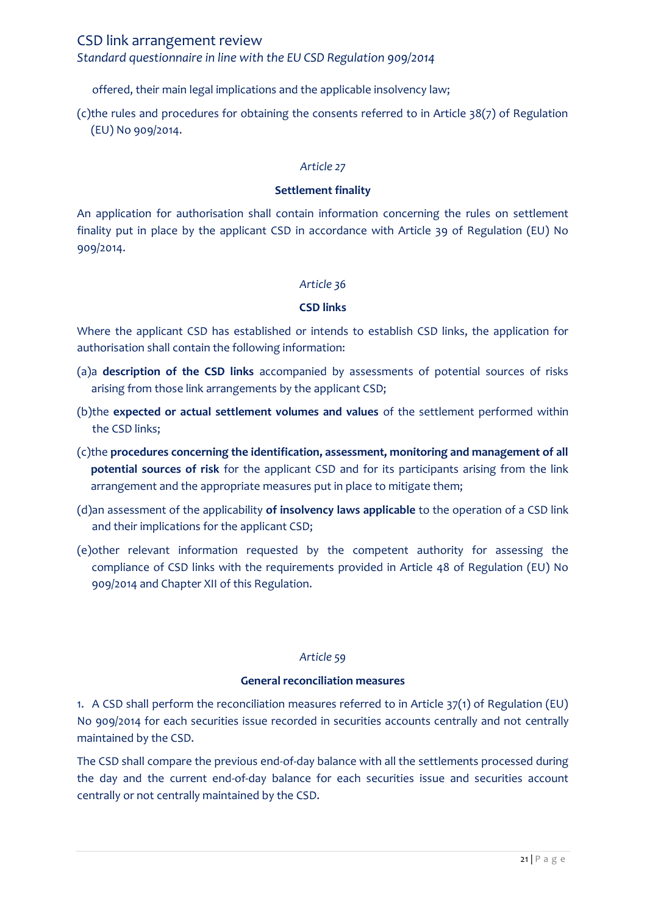### *Standard questionnaire in line with the EU CSD Regulation 909/2014*

offered, their main legal implications and the applicable insolvency law;

(c)the rules and procedures for obtaining the consents referred to in Article 38(7) of Regulation (EU) No 909/2014.

#### *Article 27*

#### **Settlement finality**

An application for authorisation shall contain information concerning the rules on settlement finality put in place by the applicant CSD in accordance with Article 39 of Regulation (EU) No 909/2014.

#### *Article 36*

### **CSD links**

Where the applicant CSD has established or intends to establish CSD links, the application for authorisation shall contain the following information:

- (a)a **description of the CSD links** accompanied by assessments of potential sources of risks arising from those link arrangements by the applicant CSD;
- (b)the **expected or actual settlement volumes and values** of the settlement performed within the CSD links;
- (c)the **procedures concerning the identification, assessment, monitoring and management of all potential sources of risk** for the applicant CSD and for its participants arising from the link arrangement and the appropriate measures put in place to mitigate them;
- (d)an assessment of the applicability **of insolvency laws applicable** to the operation of a CSD link and their implications for the applicant CSD;
- (e)other relevant information requested by the competent authority for assessing the compliance of CSD links with the requirements provided in Article 48 of Regulation (EU) No 909/2014 and Chapter XII of this Regulation.

#### *Article 59*

#### **General reconciliation measures**

1. A CSD shall perform the reconciliation measures referred to in Article 37(1) of Regulation (EU) No 909/2014 for each securities issue recorded in securities accounts centrally and not centrally maintained by the CSD.

The CSD shall compare the previous end-of-day balance with all the settlements processed during the day and the current end-of-day balance for each securities issue and securities account centrally or not centrally maintained by the CSD.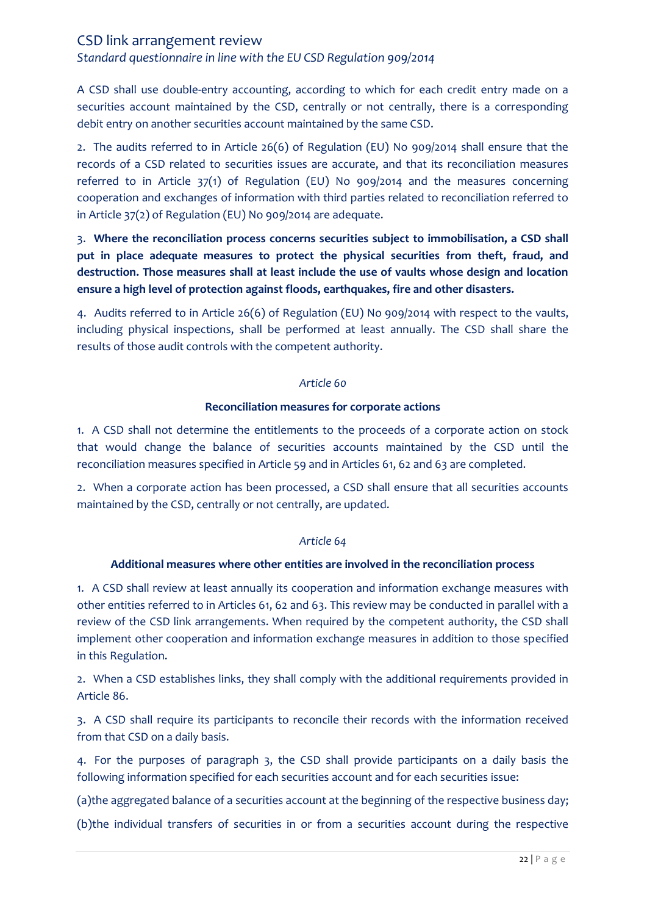*Standard questionnaire in line with the EU CSD Regulation 909/2014*

A CSD shall use double-entry accounting, according to which for each credit entry made on a securities account maintained by the CSD, centrally or not centrally, there is a corresponding debit entry on another securities account maintained by the same CSD.

2. The audits referred to in Article 26(6) of Regulation (EU) No 909/2014 shall ensure that the records of a CSD related to securities issues are accurate, and that its reconciliation measures referred to in Article 37(1) of Regulation (EU) No 909/2014 and the measures concerning cooperation and exchanges of information with third parties related to reconciliation referred to in Article 37(2) of Regulation (EU) No 909/2014 are adequate.

3. **Where the reconciliation process concerns securities subject to immobilisation, a CSD shall put in place adequate measures to protect the physical securities from theft, fraud, and destruction. Those measures shall at least include the use of vaults whose design and location ensure a high level of protection against floods, earthquakes, fire and other disasters.**

4. Audits referred to in Article 26(6) of Regulation (EU) No 909/2014 with respect to the vaults, including physical inspections, shall be performed at least annually. The CSD shall share the results of those audit controls with the competent authority.

#### *Article 60*

#### **Reconciliation measures for corporate actions**

1. A CSD shall not determine the entitlements to the proceeds of a corporate action on stock that would change the balance of securities accounts maintained by the CSD until the reconciliation measures specified in Article 59 and in Articles 61, 62 and 63 are completed.

2. When a corporate action has been processed, a CSD shall ensure that all securities accounts maintained by the CSD, centrally or not centrally, are updated.

### *Article 64*

### **Additional measures where other entities are involved in the reconciliation process**

1. A CSD shall review at least annually its cooperation and information exchange measures with other entities referred to in Articles 61, 62 and 63. This review may be conducted in parallel with a review of the CSD link arrangements. When required by the competent authority, the CSD shall implement other cooperation and information exchange measures in addition to those specified in this Regulation.

2. When a CSD establishes links, they shall comply with the additional requirements provided in Article 86.

3. A CSD shall require its participants to reconcile their records with the information received from that CSD on a daily basis.

4. For the purposes of paragraph 3, the CSD shall provide participants on a daily basis the following information specified for each securities account and for each securities issue:

(a)the aggregated balance of a securities account at the beginning of the respective business day;

(b)the individual transfers of securities in or from a securities account during the respective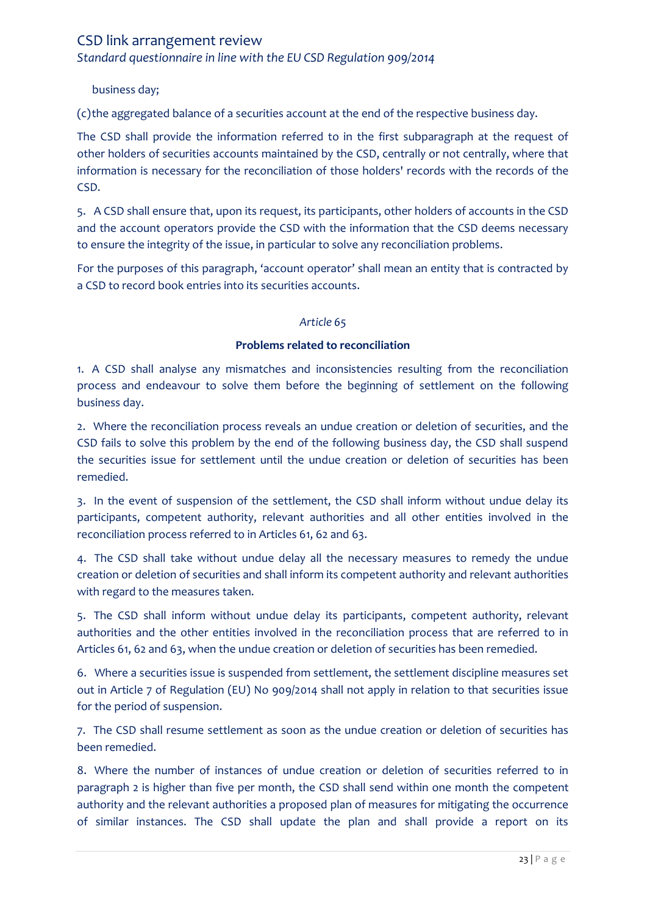*Standard questionnaire in line with the EU CSD Regulation 909/2014*

business day;

(c)the aggregated balance of a securities account at the end of the respective business day.

The CSD shall provide the information referred to in the first subparagraph at the request of other holders of securities accounts maintained by the CSD, centrally or not centrally, where that information is necessary for the reconciliation of those holders' records with the records of the CSD.

5. A CSD shall ensure that, upon its request, its participants, other holders of accounts in the CSD and the account operators provide the CSD with the information that the CSD deems necessary to ensure the integrity of the issue, in particular to solve any reconciliation problems.

For the purposes of this paragraph, 'account operator' shall mean an entity that is contracted by a CSD to record book entries into its securities accounts.

### *Article 65*

### **Problems related to reconciliation**

1. A CSD shall analyse any mismatches and inconsistencies resulting from the reconciliation process and endeavour to solve them before the beginning of settlement on the following business day.

2. Where the reconciliation process reveals an undue creation or deletion of securities, and the CSD fails to solve this problem by the end of the following business day, the CSD shall suspend the securities issue for settlement until the undue creation or deletion of securities has been remedied.

3. In the event of suspension of the settlement, the CSD shall inform without undue delay its participants, competent authority, relevant authorities and all other entities involved in the reconciliation process referred to in Articles 61, 62 and 63.

4. The CSD shall take without undue delay all the necessary measures to remedy the undue creation or deletion of securities and shall inform its competent authority and relevant authorities with regard to the measures taken.

5. The CSD shall inform without undue delay its participants, competent authority, relevant authorities and the other entities involved in the reconciliation process that are referred to in Articles 61, 62 and 63, when the undue creation or deletion of securities has been remedied.

6. Where a securities issue is suspended from settlement, the settlement discipline measures set out in Article 7 of Regulation (EU) No 909/2014 shall not apply in relation to that securities issue for the period of suspension.

7. The CSD shall resume settlement as soon as the undue creation or deletion of securities has been remedied.

8. Where the number of instances of undue creation or deletion of securities referred to in paragraph 2 is higher than five per month, the CSD shall send within one month the competent authority and the relevant authorities a proposed plan of measures for mitigating the occurrence of similar instances. The CSD shall update the plan and shall provide a report on its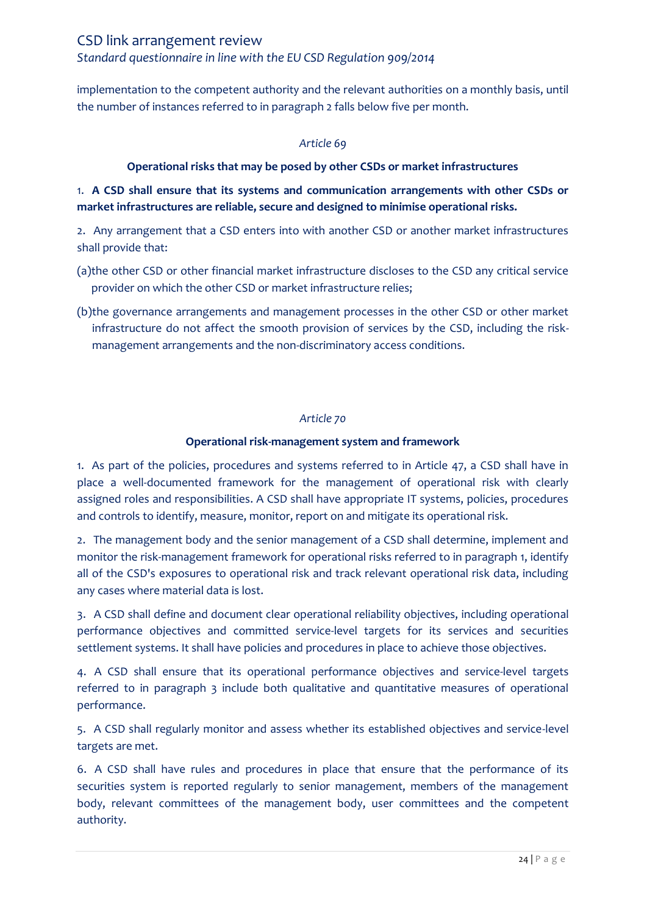implementation to the competent authority and the relevant authorities on a monthly basis, until the number of instances referred to in paragraph 2 falls below five per month.

### *Article 69*

### **Operational risks that may be posed by other CSDs or market infrastructures**

# 1. **A CSD shall ensure that its systems and communication arrangements with other CSDs or market infrastructures are reliable, secure and designed to minimise operational risks.**

2. Any arrangement that a CSD enters into with another CSD or another market infrastructures shall provide that:

- (a)the other CSD or other financial market infrastructure discloses to the CSD any critical service provider on which the other CSD or market infrastructure relies;
- (b)the governance arrangements and management processes in the other CSD or other market infrastructure do not affect the smooth provision of services by the CSD, including the riskmanagement arrangements and the non-discriminatory access conditions.

#### *Article 70*

### **Operational risk-management system and framework**

1. As part of the policies, procedures and systems referred to in Article 47, a CSD shall have in place a well-documented framework for the management of operational risk with clearly assigned roles and responsibilities. A CSD shall have appropriate IT systems, policies, procedures and controls to identify, measure, monitor, report on and mitigate its operational risk.

2. The management body and the senior management of a CSD shall determine, implement and monitor the risk-management framework for operational risks referred to in paragraph 1, identify all of the CSD's exposures to operational risk and track relevant operational risk data, including any cases where material data is lost.

3. A CSD shall define and document clear operational reliability objectives, including operational performance objectives and committed service-level targets for its services and securities settlement systems. It shall have policies and procedures in place to achieve those objectives.

4. A CSD shall ensure that its operational performance objectives and service-level targets referred to in paragraph 3 include both qualitative and quantitative measures of operational performance.

5. A CSD shall regularly monitor and assess whether its established objectives and service-level targets are met.

6. A CSD shall have rules and procedures in place that ensure that the performance of its securities system is reported regularly to senior management, members of the management body, relevant committees of the management body, user committees and the competent authority.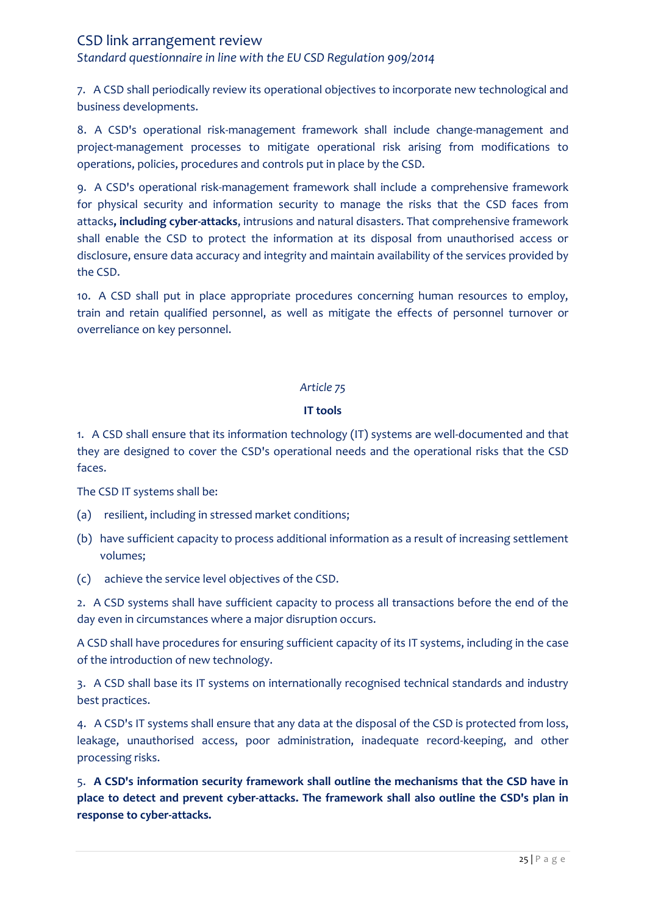*Standard questionnaire in line with the EU CSD Regulation 909/2014*

7. A CSD shall periodically review its operational objectives to incorporate new technological and business developments.

8. A CSD's operational risk-management framework shall include change-management and project-management processes to mitigate operational risk arising from modifications to operations, policies, procedures and controls put in place by the CSD.

9. A CSD's operational risk-management framework shall include a comprehensive framework for physical security and information security to manage the risks that the CSD faces from attacks**, including cyber-attacks**, intrusions and natural disasters. That comprehensive framework shall enable the CSD to protect the information at its disposal from unauthorised access or disclosure, ensure data accuracy and integrity and maintain availability of the services provided by the CSD.

10. A CSD shall put in place appropriate procedures concerning human resources to employ, train and retain qualified personnel, as well as mitigate the effects of personnel turnover or overreliance on key personnel.

### *Article 75*

### **IT tools**

1. A CSD shall ensure that its information technology (IT) systems are well-documented and that they are designed to cover the CSD's operational needs and the operational risks that the CSD faces.

The CSD IT systems shall be:

- (a) resilient, including in stressed market conditions;
- (b) have sufficient capacity to process additional information as a result of increasing settlement volumes;
- (c) achieve the service level objectives of the CSD.

2. A CSD systems shall have sufficient capacity to process all transactions before the end of the day even in circumstances where a major disruption occurs.

A CSD shall have procedures for ensuring sufficient capacity of its IT systems, including in the case of the introduction of new technology.

3. A CSD shall base its IT systems on internationally recognised technical standards and industry best practices.

4. A CSD's IT systems shall ensure that any data at the disposal of the CSD is protected from loss, leakage, unauthorised access, poor administration, inadequate record-keeping, and other processing risks.

5. **A CSD's information security framework shall outline the mechanisms that the CSD have in place to detect and prevent cyber-attacks. The framework shall also outline the CSD's plan in response to cyber-attacks.**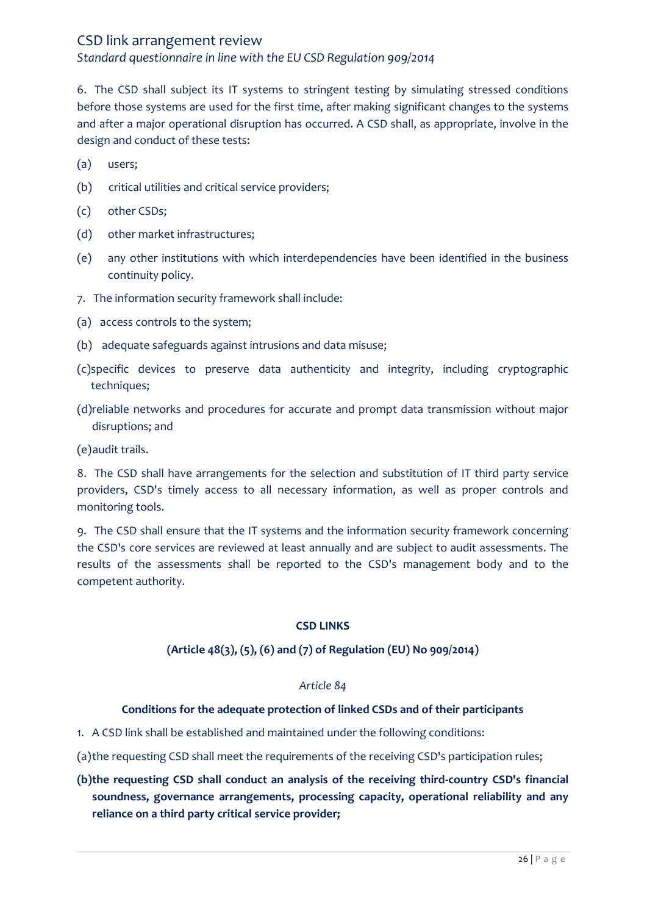*Standard questionnaire in line with the EU CSD Regulation 909/2014*

6. The CSD shall subject its IT systems to stringent testing by simulating stressed conditions before those systems are used for the first time, after making significant changes to the systems and after a major operational disruption has occurred. A CSD shall, as appropriate, involve in the design and conduct of these tests:

- (a) users;
- (b) critical utilities and critical service providers;
- (c) other CSDs;
- (d) other market infrastructures;
- (e) any other institutions with which interdependencies have been identified in the business continuity policy.
- 7. The information security framework shall include:
- (a) access controls to the system;
- (b) adequate safeguards against intrusions and data misuse;
- (c)specific devices to preserve data authenticity and integrity, including cryptographic techniques;
- (d)reliable networks and procedures for accurate and prompt data transmission without major disruptions; and

(e)audit trails.

8. The CSD shall have arrangements for the selection and substitution of IT third party service providers, CSD's timely access to all necessary information, as well as proper controls and monitoring tools.

9. The CSD shall ensure that the IT systems and the information security framework concerning the CSD's core services are reviewed at least annually and are subject to audit assessments. The results of the assessments shall be reported to the CSD's management body and to the competent authority.

### **CSD LINKS**

### **(Article 48(3), (5), (6) and (7) of Regulation (EU) No 909/2014)**

#### *Article 84*

### **Conditions for the adequate protection of linked CSDs and of their participants**

- 1. A CSD link shall be established and maintained under the following conditions:
- (a)the requesting CSD shall meet the requirements of the receiving CSD's participation rules;
- **(b)the requesting CSD shall conduct an analysis of the receiving third-country CSD's financial soundness, governance arrangements, processing capacity, operational reliability and any reliance on a third party critical service provider;**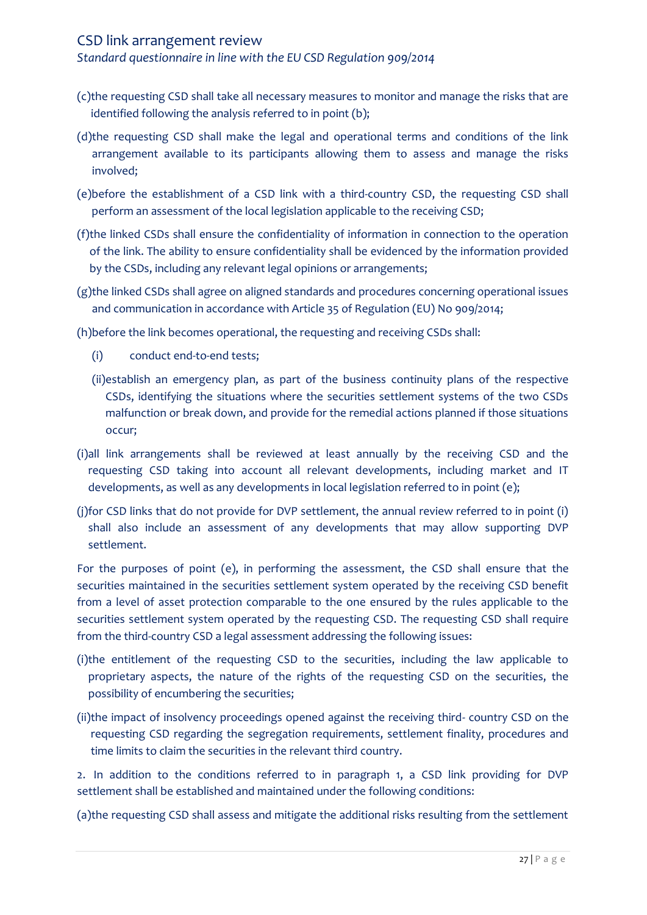*Standard questionnaire in line with the EU CSD Regulation 909/2014*

- (c)the requesting CSD shall take all necessary measures to monitor and manage the risks that are identified following the analysis referred to in point (b);
- (d)the requesting CSD shall make the legal and operational terms and conditions of the link arrangement available to its participants allowing them to assess and manage the risks involved;
- (e)before the establishment of a CSD link with a third-country CSD, the requesting CSD shall perform an assessment of the local legislation applicable to the receiving CSD;
- (f)the linked CSDs shall ensure the confidentiality of information in connection to the operation of the link. The ability to ensure confidentiality shall be evidenced by the information provided by the CSDs, including any relevant legal opinions or arrangements;
- (g)the linked CSDs shall agree on aligned standards and procedures concerning operational issues and communication in accordance with Article 35 of Regulation (EU) No 909/2014;

(h)before the link becomes operational, the requesting and receiving CSDs shall:

- (i) conduct end-to-end tests;
- (ii)establish an emergency plan, as part of the business continuity plans of the respective CSDs, identifying the situations where the securities settlement systems of the two CSDs malfunction or break down, and provide for the remedial actions planned if those situations occur;
- (i)all link arrangements shall be reviewed at least annually by the receiving CSD and the requesting CSD taking into account all relevant developments, including market and IT developments, as well as any developments in local legislation referred to in point (e);
- (j)for CSD links that do not provide for DVP settlement, the annual review referred to in point (i) shall also include an assessment of any developments that may allow supporting DVP settlement.

For the purposes of point (e), in performing the assessment, the CSD shall ensure that the securities maintained in the securities settlement system operated by the receiving CSD benefit from a level of asset protection comparable to the one ensured by the rules applicable to the securities settlement system operated by the requesting CSD. The requesting CSD shall require from the third-country CSD a legal assessment addressing the following issues:

- (i)the entitlement of the requesting CSD to the securities, including the law applicable to proprietary aspects, the nature of the rights of the requesting CSD on the securities, the possibility of encumbering the securities;
- (ii)the impact of insolvency proceedings opened against the receiving third- country CSD on the requesting CSD regarding the segregation requirements, settlement finality, procedures and time limits to claim the securities in the relevant third country.

2. In addition to the conditions referred to in paragraph 1, a CSD link providing for DVP settlement shall be established and maintained under the following conditions:

(a)the requesting CSD shall assess and mitigate the additional risks resulting from the settlement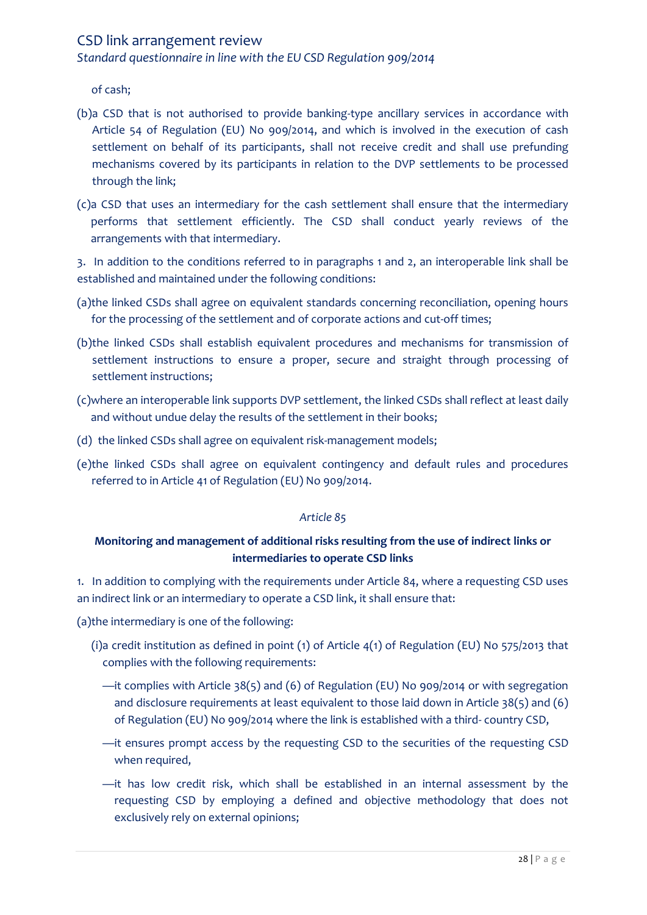*Standard questionnaire in line with the EU CSD Regulation 909/2014*

of cash;

- (b)a CSD that is not authorised to provide banking-type ancillary services in accordance with Article 54 of Regulation (EU) No 909/2014, and which is involved in the execution of cash settlement on behalf of its participants, shall not receive credit and shall use prefunding mechanisms covered by its participants in relation to the DVP settlements to be processed through the link;
- (c)a CSD that uses an intermediary for the cash settlement shall ensure that the intermediary performs that settlement efficiently. The CSD shall conduct yearly reviews of the arrangements with that intermediary.

3. In addition to the conditions referred to in paragraphs 1 and 2, an interoperable link shall be established and maintained under the following conditions:

- (a)the linked CSDs shall agree on equivalent standards concerning reconciliation, opening hours for the processing of the settlement and of corporate actions and cut-off times;
- (b)the linked CSDs shall establish equivalent procedures and mechanisms for transmission of settlement instructions to ensure a proper, secure and straight through processing of settlement instructions;
- (c)where an interoperable link supports DVP settlement, the linked CSDs shall reflect at least daily and without undue delay the results of the settlement in their books;
- (d) the linked CSDs shall agree on equivalent risk-management models;
- (e)the linked CSDs shall agree on equivalent contingency and default rules and procedures referred to in Article 41 of Regulation (EU) No 909/2014.

### *Article 85*

# **Monitoring and management of additional risks resulting from the use of indirect links or intermediaries to operate CSD links**

1. In addition to complying with the requirements under Article 84, where a requesting CSD uses an indirect link or an intermediary to operate a CSD link, it shall ensure that:

(a)the intermediary is one of the following:

- (i)a credit institution as defined in point (1) of Article 4(1) of Regulation (EU) No 575/2013 that complies with the following requirements:
	- —it complies with Article 38(5) and (6) of Regulation (EU) No 909/2014 or with segregation and disclosure requirements at least equivalent to those laid down in Article 38(5) and (6) of Regulation (EU) No 909/2014 where the link is established with a third- country CSD,
	- —it ensures prompt access by the requesting CSD to the securities of the requesting CSD when required,
	- —it has low credit risk, which shall be established in an internal assessment by the requesting CSD by employing a defined and objective methodology that does not exclusively rely on external opinions;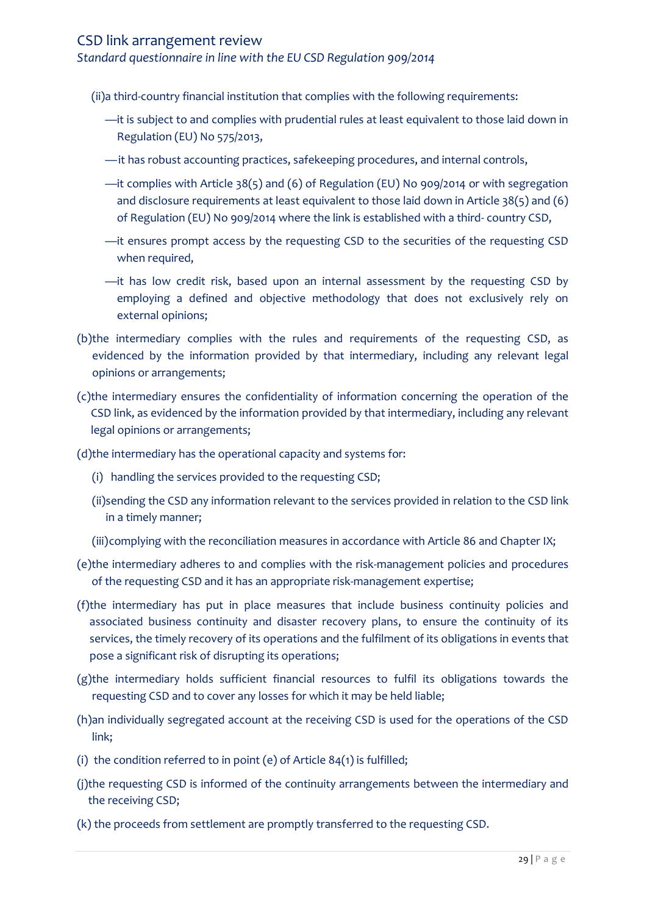*Standard questionnaire in line with the EU CSD Regulation 909/2014*

(ii)a third-country financial institution that complies with the following requirements:

- —it is subject to and complies with prudential rules at least equivalent to those laid down in Regulation (EU) No 575/2013,
- —it has robust accounting practices, safekeeping procedures, and internal controls,
- —it complies with Article 38(5) and (6) of Regulation (EU) No 909/2014 or with segregation and disclosure requirements at least equivalent to those laid down in Article 38(5) and (6) of Regulation (EU) No 909/2014 where the link is established with a third- country CSD,
- —it ensures prompt access by the requesting CSD to the securities of the requesting CSD when required,
- —it has low credit risk, based upon an internal assessment by the requesting CSD by employing a defined and objective methodology that does not exclusively rely on external opinions;
- (b)the intermediary complies with the rules and requirements of the requesting CSD, as evidenced by the information provided by that intermediary, including any relevant legal opinions or arrangements;
- (c)the intermediary ensures the confidentiality of information concerning the operation of the CSD link, as evidenced by the information provided by that intermediary, including any relevant legal opinions or arrangements;
- (d)the intermediary has the operational capacity and systems for:
	- (i) handling the services provided to the requesting CSD;
	- (ii)sending the CSD any information relevant to the services provided in relation to the CSD link in a timely manner;
	- (iii)complying with the reconciliation measures in accordance with Article 86 and Chapter IX;
- (e)the intermediary adheres to and complies with the risk-management policies and procedures of the requesting CSD and it has an appropriate risk-management expertise;
- (f)the intermediary has put in place measures that include business continuity policies and associated business continuity and disaster recovery plans, to ensure the continuity of its services, the timely recovery of its operations and the fulfilment of its obligations in events that pose a significant risk of disrupting its operations;
- (g)the intermediary holds sufficient financial resources to fulfil its obligations towards the requesting CSD and to cover any losses for which it may be held liable;
- (h)an individually segregated account at the receiving CSD is used for the operations of the CSD link;
- (i) the condition referred to in point (e) of Article  $84(1)$  is fulfilled;
- (j)the requesting CSD is informed of the continuity arrangements between the intermediary and the receiving CSD;
- (k) the proceeds from settlement are promptly transferred to the requesting CSD.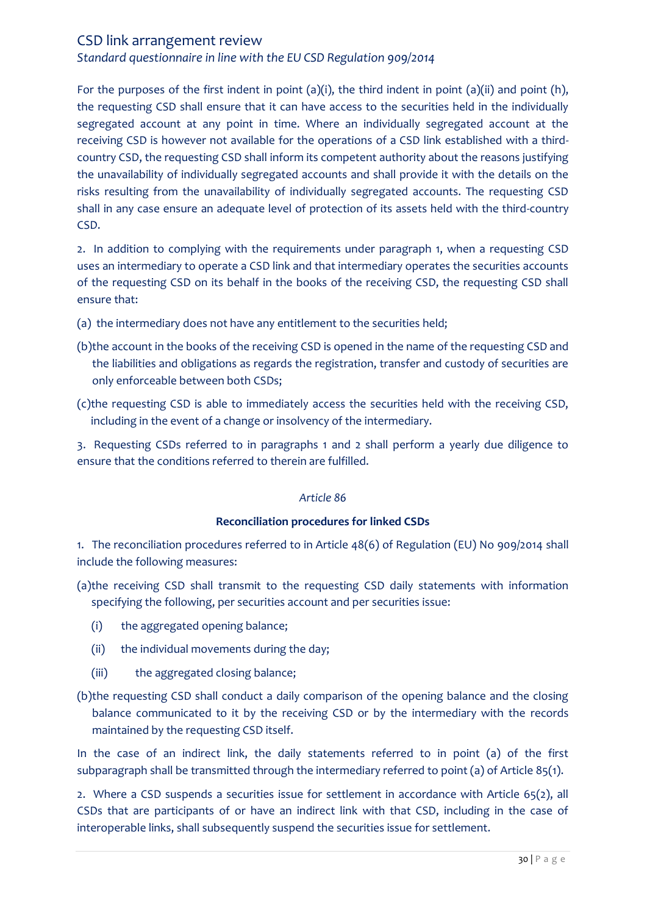*Standard questionnaire in line with the EU CSD Regulation 909/2014*

For the purposes of the first indent in point (a)(i), the third indent in point (a)(ii) and point (h), the requesting CSD shall ensure that it can have access to the securities held in the individually segregated account at any point in time. Where an individually segregated account at the receiving CSD is however not available for the operations of a CSD link established with a thirdcountry CSD, the requesting CSD shall inform its competent authority about the reasons justifying the unavailability of individually segregated accounts and shall provide it with the details on the risks resulting from the unavailability of individually segregated accounts. The requesting CSD shall in any case ensure an adequate level of protection of its assets held with the third-country CSD.

2. In addition to complying with the requirements under paragraph 1, when a requesting CSD uses an intermediary to operate a CSD link and that intermediary operates the securities accounts of the requesting CSD on its behalf in the books of the receiving CSD, the requesting CSD shall ensure that:

- (a) the intermediary does not have any entitlement to the securities held;
- (b)the account in the books of the receiving CSD is opened in the name of the requesting CSD and the liabilities and obligations as regards the registration, transfer and custody of securities are only enforceable between both CSDs;
- (c)the requesting CSD is able to immediately access the securities held with the receiving CSD, including in the event of a change or insolvency of the intermediary.

3. Requesting CSDs referred to in paragraphs 1 and 2 shall perform a yearly due diligence to ensure that the conditions referred to therein are fulfilled.

### *Article 86*

### **Reconciliation procedures for linked CSDs**

1. The reconciliation procedures referred to in Article 48(6) of Regulation (EU) No 909/2014 shall include the following measures:

- (a)the receiving CSD shall transmit to the requesting CSD daily statements with information specifying the following, per securities account and per securities issue:
	- (i) the aggregated opening balance;
	- (ii) the individual movements during the day;
	- (iii) the aggregated closing balance;
- (b)the requesting CSD shall conduct a daily comparison of the opening balance and the closing balance communicated to it by the receiving CSD or by the intermediary with the records maintained by the requesting CSD itself.

In the case of an indirect link, the daily statements referred to in point (a) of the first subparagraph shall be transmitted through the intermediary referred to point (a) of Article 85(1).

2. Where a CSD suspends a securities issue for settlement in accordance with Article 65(2), all CSDs that are participants of or have an indirect link with that CSD, including in the case of interoperable links, shall subsequently suspend the securities issue for settlement.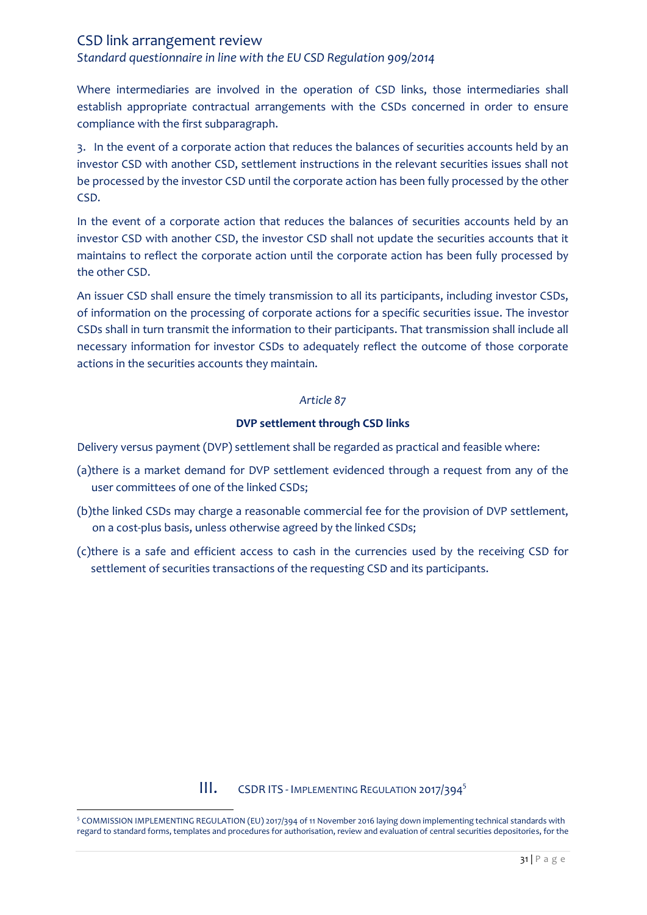*Standard questionnaire in line with the EU CSD Regulation 909/2014*

Where intermediaries are involved in the operation of CSD links, those intermediaries shall establish appropriate contractual arrangements with the CSDs concerned in order to ensure compliance with the first subparagraph.

3. In the event of a corporate action that reduces the balances of securities accounts held by an investor CSD with another CSD, settlement instructions in the relevant securities issues shall not be processed by the investor CSD until the corporate action has been fully processed by the other CSD.

In the event of a corporate action that reduces the balances of securities accounts held by an investor CSD with another CSD, the investor CSD shall not update the securities accounts that it maintains to reflect the corporate action until the corporate action has been fully processed by the other CSD.

An issuer CSD shall ensure the timely transmission to all its participants, including investor CSDs, of information on the processing of corporate actions for a specific securities issue. The investor CSDs shall in turn transmit the information to their participants. That transmission shall include all necessary information for investor CSDs to adequately reflect the outcome of those corporate actions in the securities accounts they maintain.

#### *Article 87*

#### **DVP settlement through CSD links**

Delivery versus payment (DVP) settlement shall be regarded as practical and feasible where:

- (a)there is a market demand for DVP settlement evidenced through a request from any of the user committees of one of the linked CSDs;
- (b)the linked CSDs may charge a reasonable commercial fee for the provision of DVP settlement, on a cost-plus basis, unless otherwise agreed by the linked CSDs;
- (c)there is a safe and efficient access to cash in the currencies used by the receiving CSD for settlement of securities transactions of the requesting CSD and its participants.

### **III.** CSDR ITS - IMPLEMENTING REGULATION 2017/394<sup>5</sup>

<span id="page-30-0"></span> 5 COMMISSION IMPLEMENTING REGULATION (EU) 2017/394 of 11 November 2016 laying down implementing technical standards with regard to standard forms, templates and procedures for authorisation, review and evaluation of central securities depositories, for the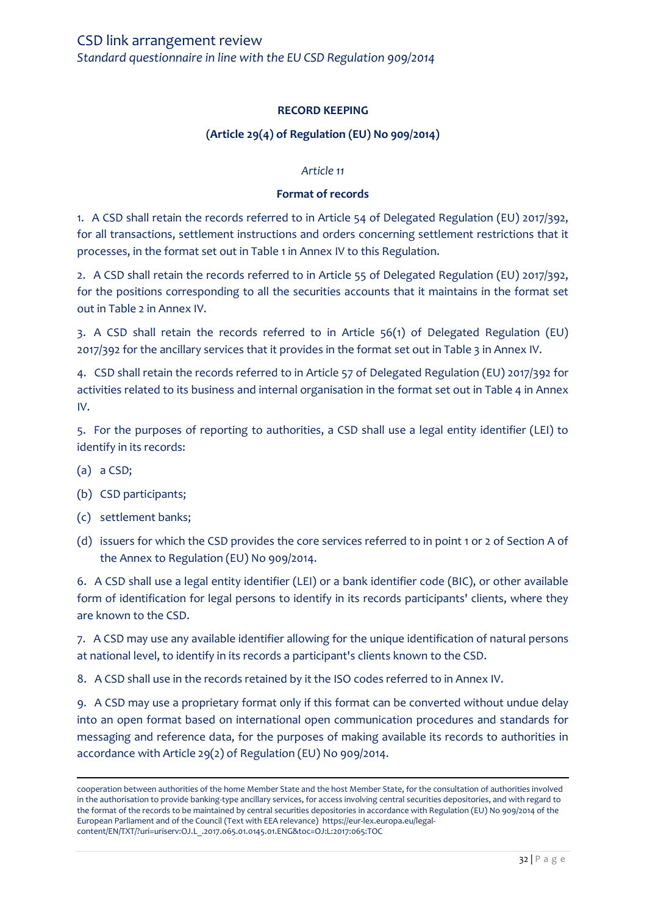### **RECORD KEEPING**

### **(Article 29(4) of Regulation (EU) No 909/2014)**

#### *Article 11*

#### **Format of records**

1. A CSD shall retain the records referred to in Article 54 of Delegated Regulation (EU) 2017/392, for all transactions, settlement instructions and orders concerning settlement restrictions that it processes, in the format set out in Table 1 in Annex IV to this Regulation.

2. A CSD shall retain the records referred to in Article 55 of Delegated Regulation (EU) 2017/392, for the positions corresponding to all the securities accounts that it maintains in the format set out in Table 2 in Annex IV.

3. A CSD shall retain the records referred to in Article 56(1) of Delegated Regulation (EU) 2017/392 for the ancillary services that it provides in the format set out in Table 3 in Annex IV.

4. CSD shall retain the records referred to in Article 57 of Delegated Regulation (EU) 2017/392 for activities related to its business and internal organisation in the format set out in Table 4 in Annex IV.

5. For the purposes of reporting to authorities, a CSD shall use a legal entity identifier (LEI) to identify in its records:

(a) a CSD;

 $\overline{\phantom{a}}$ 

- (b) CSD participants;
- (c) settlement banks;
- (d) issuers for which the CSD provides the core services referred to in point 1 or 2 of Section A of the Annex to Regulation (EU) No 909/2014.

6. A CSD shall use a legal entity identifier (LEI) or a bank identifier code (BIC), or other available form of identification for legal persons to identify in its records participants' clients, where they are known to the CSD.

7. A CSD may use any available identifier allowing for the unique identification of natural persons at national level, to identify in its records a participant's clients known to the CSD.

8. A CSD shall use in the records retained by it the ISO codes referred to in Annex IV.

9. A CSD may use a proprietary format only if this format can be converted without undue delay into an open format based on international open communication procedures and standards for messaging and reference data, for the purposes of making available its records to authorities in accordance with Article 29(2) of Regulation (EU) No 909/2014.

cooperation between authorities of the home Member State and the host Member State, for the consultation of authorities involved in the authorisation to provide banking-type ancillary services, for access involving central securities depositories, and with regard to the format of the records to be maintained by central securities depositories in accordance with Regulation (EU) No 909/2014 of the European Parliament and of the Council (Text with EEA relevance) https://eur-lex.europa.eu/legalcontent/EN/TXT/?uri=uriserv:OJ.L\_.2017.065.01.0145.01.ENG&toc=OJ:L:2017:065:TOC